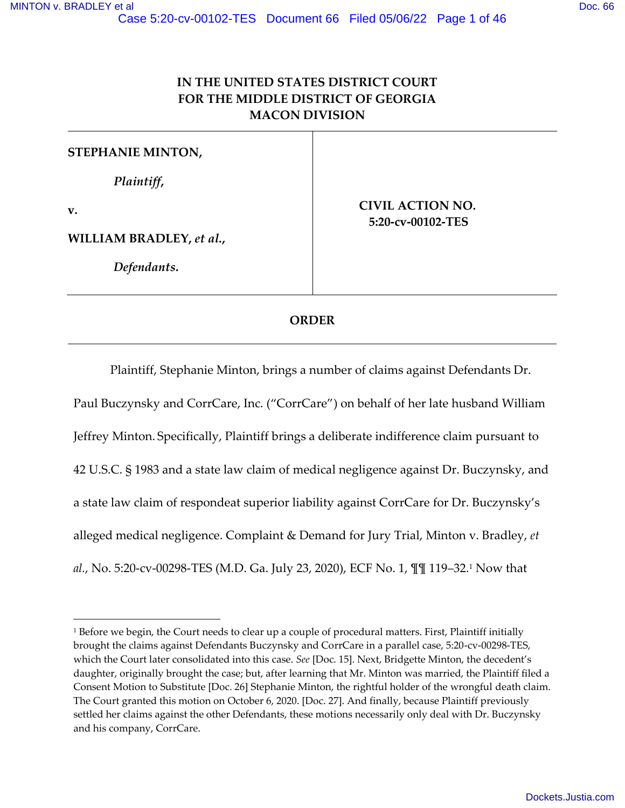# **IN THE UNITED STATES DISTRICT COURT FOR THE MIDDLE DISTRICT OF GEORGIA MACON DIVISION**

**STEPHANIE MINTON,** 

*Plaintiff***,** 

**v.**

**WILLIAM BRADLEY,** *et al.***,** 

*Defendants***.** 

**CIVIL ACTION NO. 5:20-cv-00102-TES** 

## **ORDER**

 Plaintiff, Stephanie Minton, brings a number of claims against Defendants Dr. Paul Buczynsky and CorrCare, Inc. ("CorrCare") on behalf of her late husband William Jeffrey Minton. Specifically, Plaintiff brings a deliberate indifference claim pursuant to 42 U.S.C. § 1983 and a state law claim of medical negligence against Dr. Buczynsky, and a state law claim of respondeat superior liability against CorrCare for Dr. Buczynsky's alleged medical negligence. Complaint & Demand for Jury Trial, Minton v. Bradley, *et al.*, No. 5:20-cv-00298-TES (M.D. Ga. July 23, 2020), ECF No. 1, ¶¶ 119–32.<sup>1</sup> Now that

<sup>1</sup> Before we begin, the Court needs to clear up a couple of procedural matters. First, Plaintiff initially brought the claims against Defendants Buczynsky and CorrCare in a parallel case, 5:20-cv-00298-TES, which the Court later consolidated into this case. *See* [Doc. 15]. Next, Bridgette Minton, the decedent's daughter, originally brought the case; but, after learning that Mr. Minton was married, the Plaintiff filed a Consent Motion to Substitute [Doc. 26] Stephanie Minton, the rightful holder of the wrongful death claim. The Court granted this motion on October 6, 2020. [Doc. 27]. And finally, because Plaintiff previously settled her claims against the other Defendants, these motions necessarily only deal with Dr. Buczynsky and his company, CorrCare.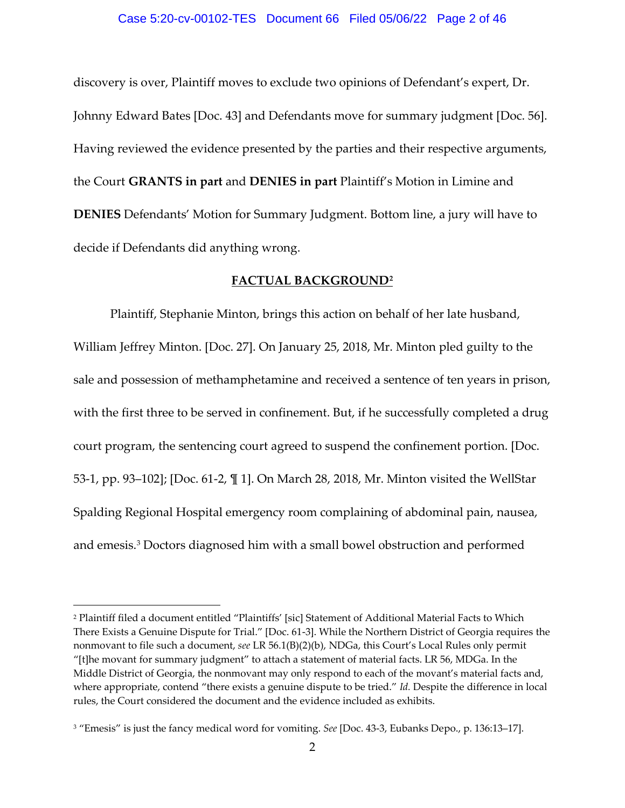#### Case 5:20-cv-00102-TES Document 66 Filed 05/06/22 Page 2 of 46

discovery is over, Plaintiff moves to exclude two opinions of Defendant's expert, Dr. Johnny Edward Bates [Doc. 43] and Defendants move for summary judgment [Doc. 56]. Having reviewed the evidence presented by the parties and their respective arguments, the Court **GRANTS in part** and **DENIES in part** Plaintiff's Motion in Limine and **DENIES** Defendants' Motion for Summary Judgment. Bottom line, a jury will have to decide if Defendants did anything wrong.

## **FACTUAL BACKGROUND<sup>2</sup>**

Plaintiff, Stephanie Minton, brings this action on behalf of her late husband, William Jeffrey Minton. [Doc. 27]. On January 25, 2018, Mr. Minton pled guilty to the sale and possession of methamphetamine and received a sentence of ten years in prison, with the first three to be served in confinement. But, if he successfully completed a drug court program, the sentencing court agreed to suspend the confinement portion. [Doc. 53-1, pp. 93–102]; [Doc. 61-2, ¶ 1]. On March 28, 2018, Mr. Minton visited the WellStar Spalding Regional Hospital emergency room complaining of abdominal pain, nausea, and emesis.<sup>3</sup> Doctors diagnosed him with a small bowel obstruction and performed

<sup>2</sup> Plaintiff filed a document entitled "Plaintiffs' [sic] Statement of Additional Material Facts to Which There Exists a Genuine Dispute for Trial." [Doc. 61-3]. While the Northern District of Georgia requires the nonmovant to file such a document, *see* LR 56.1(B)(2)(b), NDGa, this Court's Local Rules only permit "[t]he movant for summary judgment" to attach a statement of material facts. LR 56, MDGa. In the Middle District of Georgia, the nonmovant may only respond to each of the movant's material facts and, where appropriate, contend "there exists a genuine dispute to be tried." *Id.* Despite the difference in local rules, the Court considered the document and the evidence included as exhibits.

<sup>3</sup> "Emesis" is just the fancy medical word for vomiting. *See* [Doc. 43-3, Eubanks Depo., p. 136:13–17].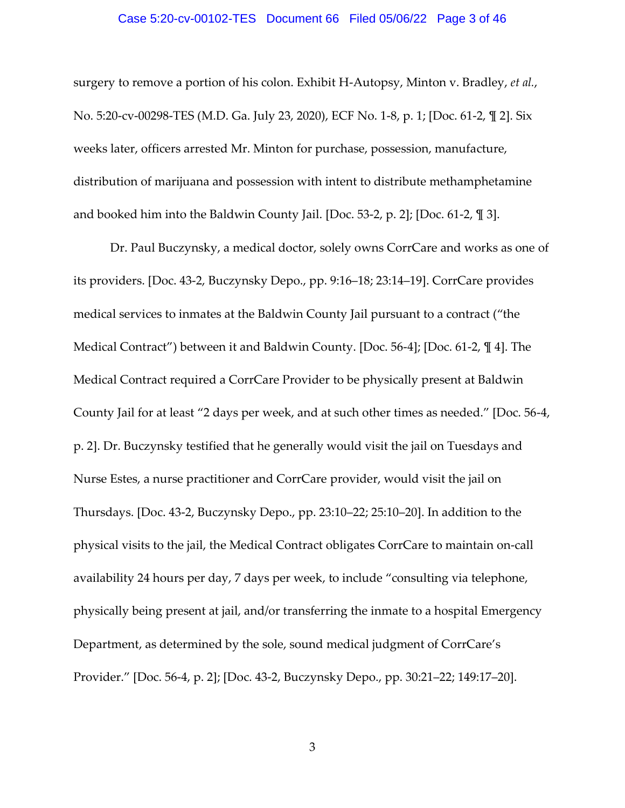#### Case 5:20-cv-00102-TES Document 66 Filed 05/06/22 Page 3 of 46

surgery to remove a portion of his colon. Exhibit H-Autopsy, Minton v. Bradley, *et al.*, No. 5:20-cv-00298-TES (M.D. Ga. July 23, 2020), ECF No. 1-8, p. 1; [Doc. 61-2, ¶ 2]. Six weeks later, officers arrested Mr. Minton for purchase, possession, manufacture, distribution of marijuana and possession with intent to distribute methamphetamine and booked him into the Baldwin County Jail. [Doc. 53-2, p. 2]; [Doc. 61-2, ¶ 3].

Dr. Paul Buczynsky, a medical doctor, solely owns CorrCare and works as one of its providers. [Doc. 43-2, Buczynsky Depo., pp. 9:16–18; 23:14–19]. CorrCare provides medical services to inmates at the Baldwin County Jail pursuant to a contract ("the Medical Contract") between it and Baldwin County. [Doc. 56-4]; [Doc. 61-2, ¶ 4]. The Medical Contract required a CorrCare Provider to be physically present at Baldwin County Jail for at least "2 days per week, and at such other times as needed." [Doc. 56-4, p. 2]. Dr. Buczynsky testified that he generally would visit the jail on Tuesdays and Nurse Estes, a nurse practitioner and CorrCare provider, would visit the jail on Thursdays. [Doc. 43-2, Buczynsky Depo., pp. 23:10–22; 25:10–20]. In addition to the physical visits to the jail, the Medical Contract obligates CorrCare to maintain on-call availability 24 hours per day, 7 days per week, to include "consulting via telephone, physically being present at jail, and/or transferring the inmate to a hospital Emergency Department, as determined by the sole, sound medical judgment of CorrCare's Provider." [Doc. 56-4, p. 2]; [Doc. 43-2, Buczynsky Depo., pp. 30:21–22; 149:17–20].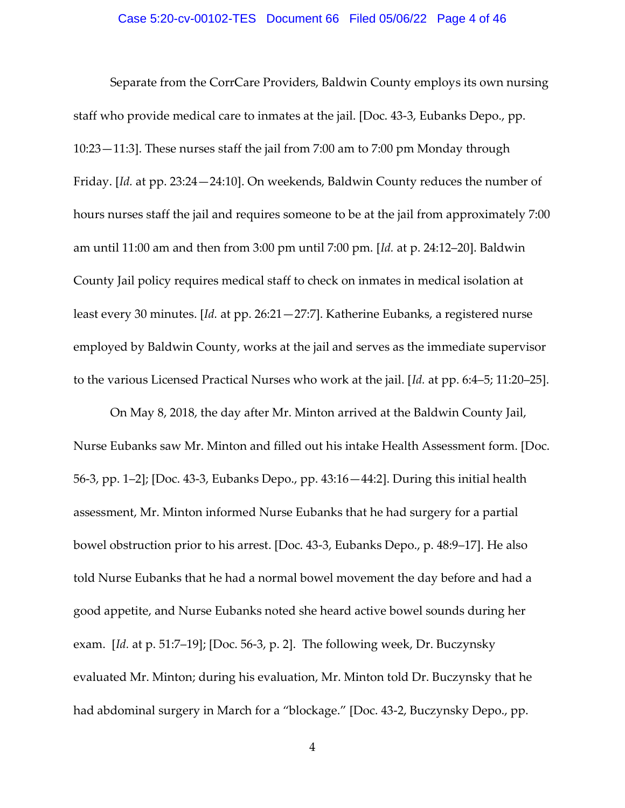#### Case 5:20-cv-00102-TES Document 66 Filed 05/06/22 Page 4 of 46

Separate from the CorrCare Providers, Baldwin County employs its own nursing staff who provide medical care to inmates at the jail. [Doc. 43-3, Eubanks Depo., pp. 10:23—11:3]. These nurses staff the jail from 7:00 am to 7:00 pm Monday through Friday. [*Id.* at pp. 23:24—24:10]. On weekends, Baldwin County reduces the number of hours nurses staff the jail and requires someone to be at the jail from approximately 7:00 am until 11:00 am and then from 3:00 pm until 7:00 pm. [*Id.* at p. 24:12–20]. Baldwin County Jail policy requires medical staff to check on inmates in medical isolation at least every 30 minutes. [*Id.* at pp. 26:21—27:7]. Katherine Eubanks, a registered nurse employed by Baldwin County, works at the jail and serves as the immediate supervisor to the various Licensed Practical Nurses who work at the jail. [*Id.* at pp. 6:4–5; 11:20–25].

On May 8, 2018, the day after Mr. Minton arrived at the Baldwin County Jail, Nurse Eubanks saw Mr. Minton and filled out his intake Health Assessment form. [Doc. 56-3, pp. 1–2]; [Doc. 43-3, Eubanks Depo., pp. 43:16—44:2]. During this initial health assessment, Mr. Minton informed Nurse Eubanks that he had surgery for a partial bowel obstruction prior to his arrest. [Doc. 43-3, Eubanks Depo., p. 48:9–17]. He also told Nurse Eubanks that he had a normal bowel movement the day before and had a good appetite, and Nurse Eubanks noted she heard active bowel sounds during her exam. [*Id.* at p. 51:7–19]; [Doc. 56-3, p. 2]. The following week, Dr. Buczynsky evaluated Mr. Minton; during his evaluation, Mr. Minton told Dr. Buczynsky that he had abdominal surgery in March for a "blockage." [Doc. 43-2, Buczynsky Depo., pp.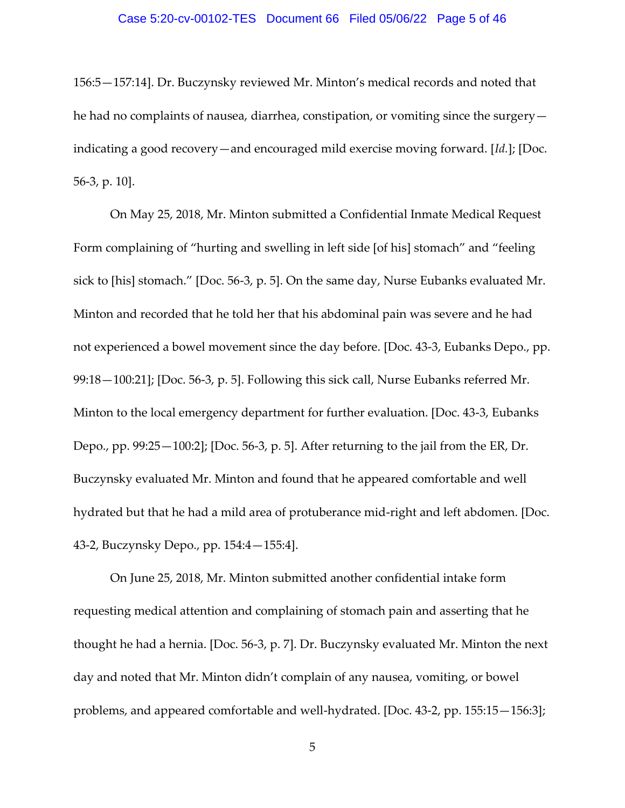#### Case 5:20-cv-00102-TES Document 66 Filed 05/06/22 Page 5 of 46

156:5—157:14]. Dr. Buczynsky reviewed Mr. Minton's medical records and noted that he had no complaints of nausea, diarrhea, constipation, or vomiting since the surgery indicating a good recovery—and encouraged mild exercise moving forward. [*Id.*]; [Doc. 56-3, p. 10].

On May 25, 2018, Mr. Minton submitted a Confidential Inmate Medical Request Form complaining of "hurting and swelling in left side [of his] stomach" and "feeling sick to [his] stomach." [Doc. 56-3, p. 5]. On the same day, Nurse Eubanks evaluated Mr. Minton and recorded that he told her that his abdominal pain was severe and he had not experienced a bowel movement since the day before. [Doc. 43-3, Eubanks Depo., pp. 99:18—100:21]; [Doc. 56-3, p. 5]. Following this sick call, Nurse Eubanks referred Mr. Minton to the local emergency department for further evaluation. [Doc. 43-3, Eubanks Depo., pp. 99:25—100:2]; [Doc. 56-3, p. 5]. After returning to the jail from the ER, Dr. Buczynsky evaluated Mr. Minton and found that he appeared comfortable and well hydrated but that he had a mild area of protuberance mid-right and left abdomen. [Doc. 43-2, Buczynsky Depo., pp. 154:4—155:4].

On June 25, 2018, Mr. Minton submitted another confidential intake form requesting medical attention and complaining of stomach pain and asserting that he thought he had a hernia. [Doc. 56-3, p. 7]. Dr. Buczynsky evaluated Mr. Minton the next day and noted that Mr. Minton didn't complain of any nausea, vomiting, or bowel problems, and appeared comfortable and well-hydrated. [Doc. 43-2, pp. 155:15—156:3];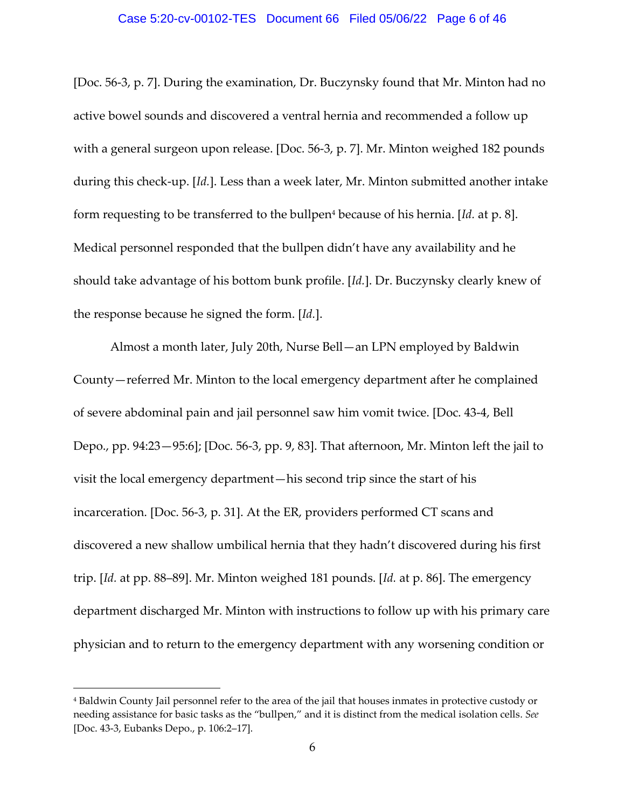#### Case 5:20-cv-00102-TES Document 66 Filed 05/06/22 Page 6 of 46

[Doc. 56-3, p. 7]. During the examination, Dr. Buczynsky found that Mr. Minton had no active bowel sounds and discovered a ventral hernia and recommended a follow up with a general surgeon upon release. [Doc. 56-3, p. 7]. Mr. Minton weighed 182 pounds during this check-up. [*Id.*]. Less than a week later, Mr. Minton submitted another intake form requesting to be transferred to the bullpen<sup>4</sup> because of his hernia. [*Id.* at p. 8]. Medical personnel responded that the bullpen didn't have any availability and he should take advantage of his bottom bunk profile. [*Id.*]. Dr. Buczynsky clearly knew of the response because he signed the form. [*Id.*].

Almost a month later, July 20th, Nurse Bell—an LPN employed by Baldwin County—referred Mr. Minton to the local emergency department after he complained of severe abdominal pain and jail personnel saw him vomit twice. [Doc. 43-4, Bell Depo., pp. 94:23—95:6]; [Doc. 56-3, pp. 9, 83]. That afternoon, Mr. Minton left the jail to visit the local emergency department—his second trip since the start of his incarceration. [Doc. 56-3, p. 31]. At the ER, providers performed CT scans and discovered a new shallow umbilical hernia that they hadn't discovered during his first trip. [*Id.* at pp. 88–89]. Mr. Minton weighed 181 pounds. [*Id.* at p. 86]. The emergency department discharged Mr. Minton with instructions to follow up with his primary care physician and to return to the emergency department with any worsening condition or

<sup>4</sup> Baldwin County Jail personnel refer to the area of the jail that houses inmates in protective custody or needing assistance for basic tasks as the "bullpen," and it is distinct from the medical isolation cells. *See*  [Doc. 43-3, Eubanks Depo., p. 106:2–17].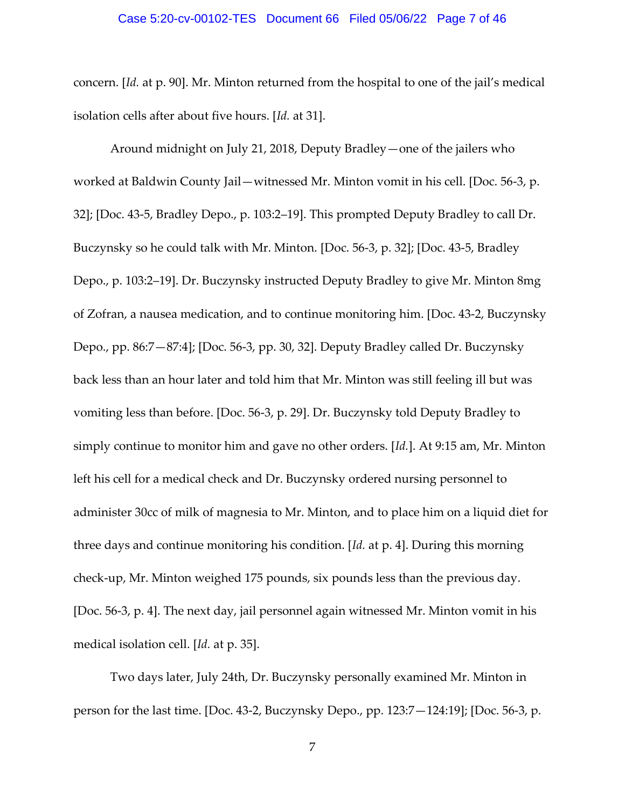#### Case 5:20-cv-00102-TES Document 66 Filed 05/06/22 Page 7 of 46

concern. [*Id.* at p. 90]. Mr. Minton returned from the hospital to one of the jail's medical isolation cells after about five hours. [*Id.* at 31].

Around midnight on July 21, 2018, Deputy Bradley—one of the jailers who worked at Baldwin County Jail—witnessed Mr. Minton vomit in his cell. [Doc. 56-3, p. 32]; [Doc. 43-5, Bradley Depo., p. 103:2–19]. This prompted Deputy Bradley to call Dr. Buczynsky so he could talk with Mr. Minton. [Doc. 56-3, p. 32]; [Doc. 43-5, Bradley Depo., p. 103:2–19]. Dr. Buczynsky instructed Deputy Bradley to give Mr. Minton 8mg of Zofran, a nausea medication, and to continue monitoring him. [Doc. 43-2, Buczynsky Depo., pp. 86:7—87:4]; [Doc. 56-3, pp. 30, 32]. Deputy Bradley called Dr. Buczynsky back less than an hour later and told him that Mr. Minton was still feeling ill but was vomiting less than before. [Doc. 56-3, p. 29]. Dr. Buczynsky told Deputy Bradley to simply continue to monitor him and gave no other orders. [*Id.*]. At 9:15 am, Mr. Minton left his cell for a medical check and Dr. Buczynsky ordered nursing personnel to administer 30cc of milk of magnesia to Mr. Minton, and to place him on a liquid diet for three days and continue monitoring his condition. [*Id.* at p. 4]. During this morning check-up, Mr. Minton weighed 175 pounds, six pounds less than the previous day. [Doc. 56-3, p. 4]. The next day, jail personnel again witnessed Mr. Minton vomit in his medical isolation cell. [*Id.* at p. 35].

Two days later, July 24th, Dr. Buczynsky personally examined Mr. Minton in person for the last time. [Doc. 43-2, Buczynsky Depo., pp. 123:7—124:19]; [Doc. 56-3, p.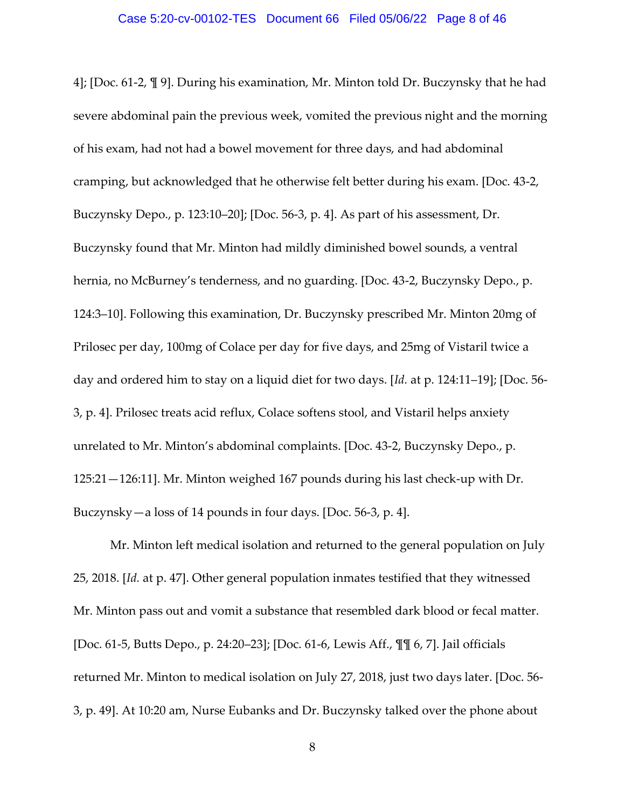4]; [Doc. 61-2, ¶ 9]. During his examination, Mr. Minton told Dr. Buczynsky that he had severe abdominal pain the previous week, vomited the previous night and the morning of his exam, had not had a bowel movement for three days, and had abdominal cramping, but acknowledged that he otherwise felt better during his exam. [Doc. 43-2, Buczynsky Depo., p. 123:10–20]; [Doc. 56-3, p. 4]. As part of his assessment, Dr. Buczynsky found that Mr. Minton had mildly diminished bowel sounds, a ventral hernia, no McBurney's tenderness, and no guarding. [Doc. 43-2, Buczynsky Depo., p. 124:3–10]. Following this examination, Dr. Buczynsky prescribed Mr. Minton 20mg of Prilosec per day, 100mg of Colace per day for five days, and 25mg of Vistaril twice a day and ordered him to stay on a liquid diet for two days. [*Id.* at p. 124:11–19]; [Doc. 56- 3, p. 4]. Prilosec treats acid reflux, Colace softens stool, and Vistaril helps anxiety unrelated to Mr. Minton's abdominal complaints. [Doc. 43-2, Buczynsky Depo., p. 125:21—126:11]. Mr. Minton weighed 167 pounds during his last check-up with Dr. Buczynsky—a loss of 14 pounds in four days. [Doc. 56-3, p. 4].

Mr. Minton left medical isolation and returned to the general population on July 25, 2018. [*Id.* at p. 47]. Other general population inmates testified that they witnessed Mr. Minton pass out and vomit a substance that resembled dark blood or fecal matter. [Doc. 61-5, Butts Depo., p. 24:20–23]; [Doc. 61-6, Lewis Aff., ¶¶ 6, 7]. Jail officials returned Mr. Minton to medical isolation on July 27, 2018, just two days later. [Doc. 56- 3, p. 49]. At 10:20 am, Nurse Eubanks and Dr. Buczynsky talked over the phone about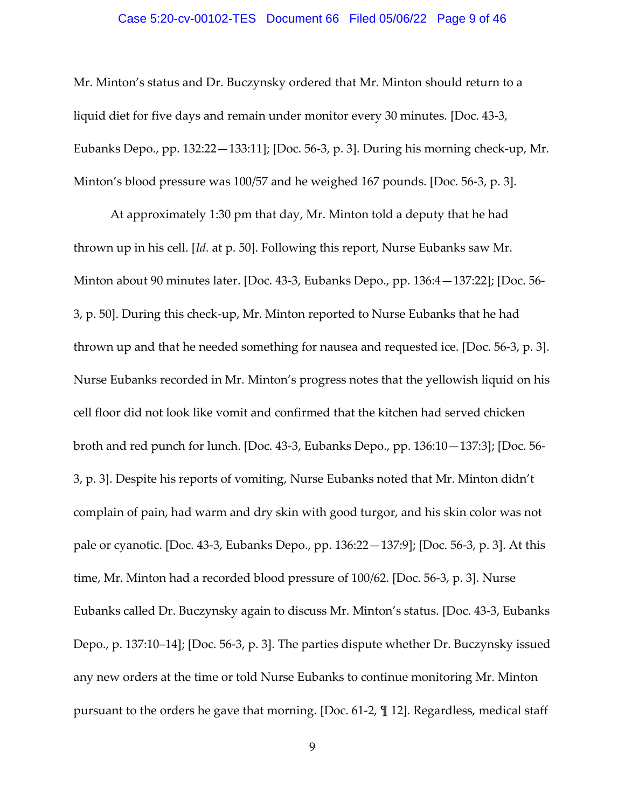#### Case 5:20-cv-00102-TES Document 66 Filed 05/06/22 Page 9 of 46

Mr. Minton's status and Dr. Buczynsky ordered that Mr. Minton should return to a liquid diet for five days and remain under monitor every 30 minutes. [Doc. 43-3, Eubanks Depo., pp. 132:22—133:11]; [Doc. 56-3, p. 3]. During his morning check-up, Mr. Minton's blood pressure was 100/57 and he weighed 167 pounds. [Doc. 56-3, p. 3].

At approximately 1:30 pm that day, Mr. Minton told a deputy that he had thrown up in his cell. [*Id.* at p. 50]. Following this report, Nurse Eubanks saw Mr. Minton about 90 minutes later. [Doc. 43-3, Eubanks Depo., pp. 136:4—137:22]; [Doc. 56- 3, p. 50]. During this check-up, Mr. Minton reported to Nurse Eubanks that he had thrown up and that he needed something for nausea and requested ice. [Doc. 56-3, p. 3]. Nurse Eubanks recorded in Mr. Minton's progress notes that the yellowish liquid on his cell floor did not look like vomit and confirmed that the kitchen had served chicken broth and red punch for lunch. [Doc. 43-3, Eubanks Depo., pp. 136:10—137:3]; [Doc. 56- 3, p. 3]. Despite his reports of vomiting, Nurse Eubanks noted that Mr. Minton didn't complain of pain, had warm and dry skin with good turgor, and his skin color was not pale or cyanotic. [Doc. 43-3, Eubanks Depo., pp. 136:22—137:9]; [Doc. 56-3, p. 3]. At this time, Mr. Minton had a recorded blood pressure of 100/62. [Doc. 56-3, p. 3]. Nurse Eubanks called Dr. Buczynsky again to discuss Mr. Minton's status. [Doc. 43-3, Eubanks Depo., p. 137:10–14]; [Doc. 56-3, p. 3]. The parties dispute whether Dr. Buczynsky issued any new orders at the time or told Nurse Eubanks to continue monitoring Mr. Minton pursuant to the orders he gave that morning. [Doc. 61-2, ¶ 12]. Regardless, medical staff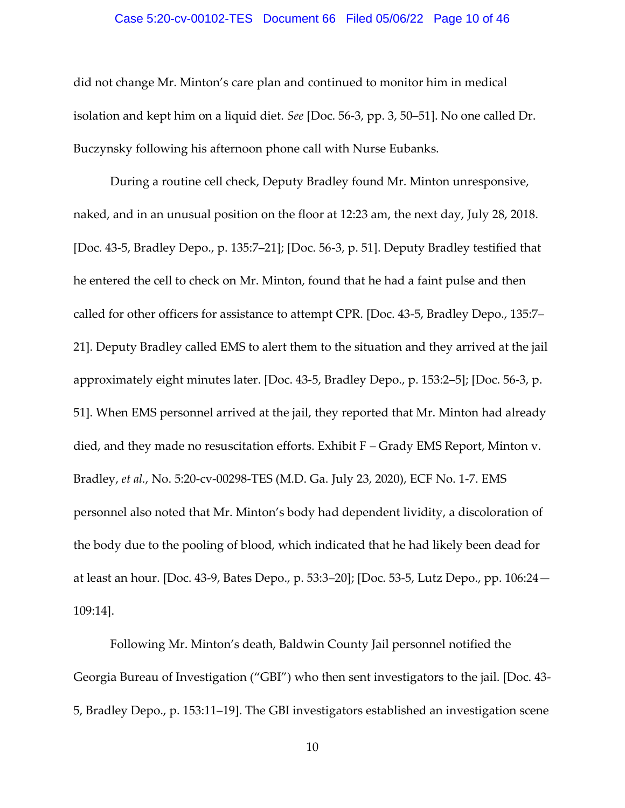#### Case 5:20-cv-00102-TES Document 66 Filed 05/06/22 Page 10 of 46

did not change Mr. Minton's care plan and continued to monitor him in medical isolation and kept him on a liquid diet. *See* [Doc. 56-3, pp. 3, 50–51]. No one called Dr. Buczynsky following his afternoon phone call with Nurse Eubanks.

During a routine cell check, Deputy Bradley found Mr. Minton unresponsive, naked, and in an unusual position on the floor at 12:23 am, the next day, July 28, 2018. [Doc. 43-5, Bradley Depo., p. 135:7–21]; [Doc. 56-3, p. 51]. Deputy Bradley testified that he entered the cell to check on Mr. Minton, found that he had a faint pulse and then called for other officers for assistance to attempt CPR. [Doc. 43-5, Bradley Depo., 135:7– 21]. Deputy Bradley called EMS to alert them to the situation and they arrived at the jail approximately eight minutes later. [Doc. 43-5, Bradley Depo., p. 153:2–5]; [Doc. 56-3, p. 51]. When EMS personnel arrived at the jail, they reported that Mr. Minton had already died, and they made no resuscitation efforts. Exhibit F – Grady EMS Report, Minton v. Bradley, *et al.*, No. 5:20-cv-00298-TES (M.D. Ga. July 23, 2020), ECF No. 1-7. EMS personnel also noted that Mr. Minton's body had dependent lividity, a discoloration of the body due to the pooling of blood, which indicated that he had likely been dead for at least an hour. [Doc. 43-9, Bates Depo., p. 53:3–20]; [Doc. 53-5, Lutz Depo., pp. 106:24— 109:14].

Following Mr. Minton's death, Baldwin County Jail personnel notified the Georgia Bureau of Investigation ("GBI") who then sent investigators to the jail. [Doc. 43- 5, Bradley Depo., p. 153:11–19]. The GBI investigators established an investigation scene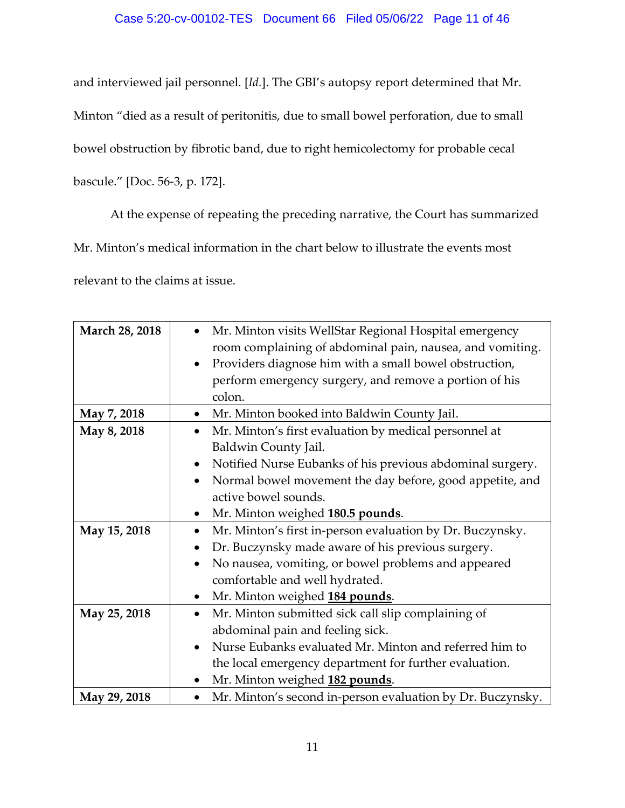# Case 5:20-cv-00102-TES Document 66 Filed 05/06/22 Page 11 of 46

and interviewed jail personnel. [*Id.*]. The GBI's autopsy report determined that Mr. Minton "died as a result of peritonitis, due to small bowel perforation, due to small bowel obstruction by fibrotic band, due to right hemicolectomy for probable cecal bascule." [Doc. 56-3, p. 172].

At the expense of repeating the preceding narrative, the Court has summarized

Mr. Minton's medical information in the chart below to illustrate the events most

relevant to the claims at issue.

| March 28, 2018 | Mr. Minton visits WellStar Regional Hospital emergency                 |
|----------------|------------------------------------------------------------------------|
|                | room complaining of abdominal pain, nausea, and vomiting.              |
|                | Providers diagnose him with a small bowel obstruction,<br>$\bullet$    |
|                | perform emergency surgery, and remove a portion of his                 |
|                | colon.                                                                 |
| May 7, 2018    | Mr. Minton booked into Baldwin County Jail.                            |
| May 8, 2018    | Mr. Minton's first evaluation by medical personnel at<br>$\bullet$     |
|                | Baldwin County Jail.                                                   |
|                | Notified Nurse Eubanks of his previous abdominal surgery.<br>$\bullet$ |
|                | Normal bowel movement the day before, good appetite, and<br>$\bullet$  |
|                | active bowel sounds.                                                   |
|                | Mr. Minton weighed 180.5 pounds.<br>٠                                  |
| May 15, 2018   | Mr. Minton's first in-person evaluation by Dr. Buczynsky.<br>$\bullet$ |
|                | Dr. Buczynsky made aware of his previous surgery.                      |
|                | No nausea, vomiting, or bowel problems and appeared<br>$\bullet$       |
|                | comfortable and well hydrated.                                         |
|                | Mr. Minton weighed 184 pounds.                                         |
| May 25, 2018   | Mr. Minton submitted sick call slip complaining of                     |
|                | abdominal pain and feeling sick.                                       |
|                | Nurse Eubanks evaluated Mr. Minton and referred him to<br>$\bullet$    |
|                | the local emergency department for further evaluation.                 |
|                | Mr. Minton weighed 182 pounds.                                         |
| May 29, 2018   | Mr. Minton's second in-person evaluation by Dr. Buczynsky.             |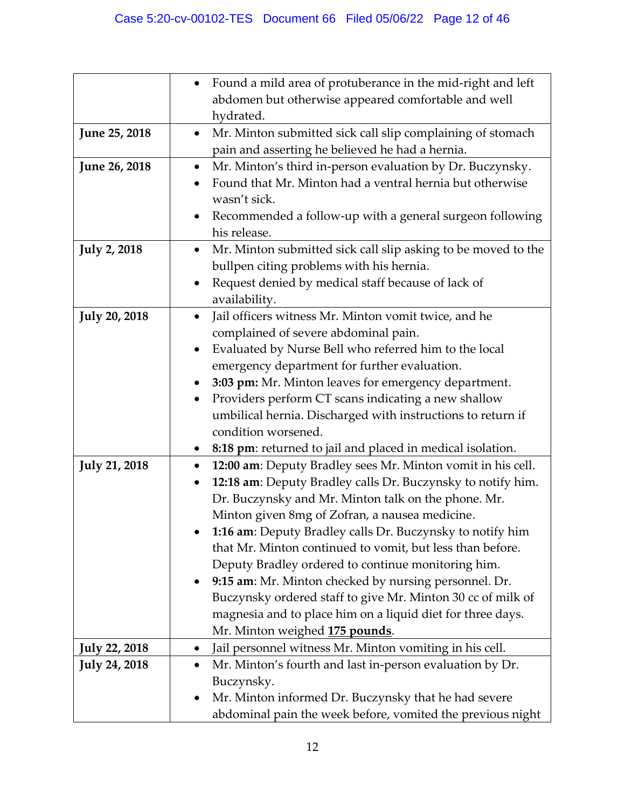|                      | Found a mild area of protuberance in the mid-right and left                |
|----------------------|----------------------------------------------------------------------------|
|                      | abdomen but otherwise appeared comfortable and well                        |
|                      | hydrated.                                                                  |
| June 25, 2018        | Mr. Minton submitted sick call slip complaining of stomach<br>$\bullet$    |
|                      | pain and asserting he believed he had a hernia.                            |
| June 26, 2018        | Mr. Minton's third in-person evaluation by Dr. Buczynsky.<br>٠             |
|                      | Found that Mr. Minton had a ventral hernia but otherwise                   |
|                      | wasn't sick.                                                               |
|                      | Recommended a follow-up with a general surgeon following                   |
|                      | his release.                                                               |
| <b>July 2, 2018</b>  | Mr. Minton submitted sick call slip asking to be moved to the<br>$\bullet$ |
|                      | bullpen citing problems with his hernia.                                   |
|                      | Request denied by medical staff because of lack of                         |
|                      | availability.                                                              |
| <b>July 20, 2018</b> | Jail officers witness Mr. Minton vomit twice, and he<br>$\bullet$          |
|                      | complained of severe abdominal pain.                                       |
|                      | Evaluated by Nurse Bell who referred him to the local<br>٠                 |
|                      | emergency department for further evaluation.                               |
|                      | 3:03 pm: Mr. Minton leaves for emergency department.                       |
|                      | Providers perform CT scans indicating a new shallow                        |
|                      | umbilical hernia. Discharged with instructions to return if                |
|                      | condition worsened.                                                        |
|                      | 8:18 pm: returned to jail and placed in medical isolation.                 |
| <b>July 21, 2018</b> | 12:00 am: Deputy Bradley sees Mr. Minton vomit in his cell.<br>٠           |
|                      | 12:18 am: Deputy Bradley calls Dr. Buczynsky to notify him.<br>٠           |
|                      | Dr. Buczynsky and Mr. Minton talk on the phone. Mr.                        |
|                      | Minton given 8mg of Zofran, a nausea medicine.                             |
|                      | 1:16 am: Deputy Bradley calls Dr. Buczynsky to notify him                  |
|                      | that Mr. Minton continued to vomit, but less than before.                  |
|                      | Deputy Bradley ordered to continue monitoring him.                         |
|                      | 9:15 am: Mr. Minton checked by nursing personnel. Dr.                      |
|                      | Buczynsky ordered staff to give Mr. Minton 30 cc of milk of                |
|                      | magnesia and to place him on a liquid diet for three days.                 |
|                      | Mr. Minton weighed 175 pounds.                                             |
| <b>July 22, 2018</b> | Jail personnel witness Mr. Minton vomiting in his cell.<br>٠               |
| <b>July 24, 2018</b> | Mr. Minton's fourth and last in-person evaluation by Dr.<br>٠              |
|                      | Buczynsky.                                                                 |
|                      | Mr. Minton informed Dr. Buczynsky that he had severe                       |
|                      | abdominal pain the week before, vomited the previous night                 |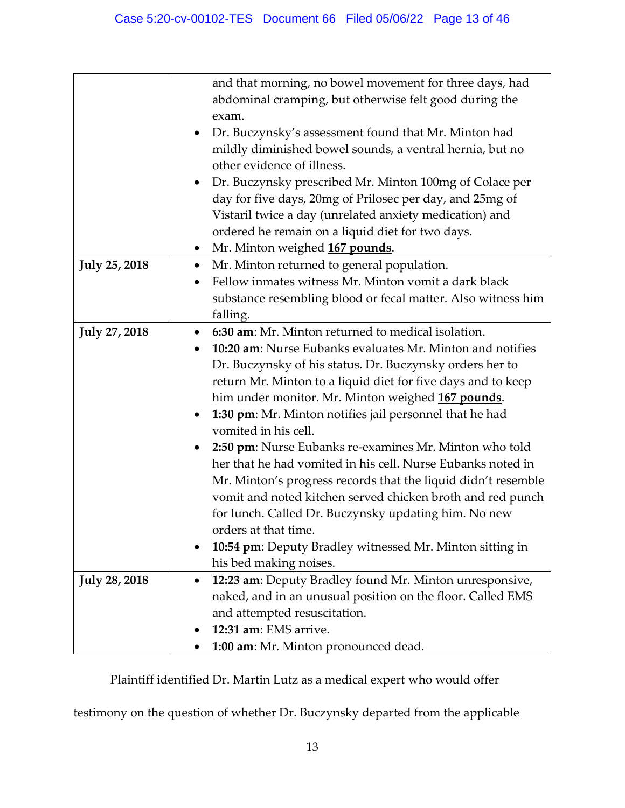|                      | and that morning, no bowel movement for three days, had          |
|----------------------|------------------------------------------------------------------|
|                      | abdominal cramping, but otherwise felt good during the           |
|                      | exam.                                                            |
|                      | Dr. Buczynsky's assessment found that Mr. Minton had             |
|                      | mildly diminished bowel sounds, a ventral hernia, but no         |
|                      | other evidence of illness.                                       |
|                      | Dr. Buczynsky prescribed Mr. Minton 100mg of Colace per          |
|                      | day for five days, 20mg of Prilosec per day, and 25mg of         |
|                      | Vistaril twice a day (unrelated anxiety medication) and          |
|                      | ordered he remain on a liquid diet for two days.                 |
|                      | Mr. Minton weighed 167 pounds.<br>٠                              |
| <b>July 25, 2018</b> | Mr. Minton returned to general population.<br>$\bullet$          |
|                      | Fellow inmates witness Mr. Minton vomit a dark black             |
|                      | substance resembling blood or fecal matter. Also witness him     |
|                      | falling.                                                         |
| <b>July 27, 2018</b> | 6:30 am: Mr. Minton returned to medical isolation.<br>$\bullet$  |
|                      | 10:20 am: Nurse Eubanks evaluates Mr. Minton and notifies        |
|                      | Dr. Buczynsky of his status. Dr. Buczynsky orders her to         |
|                      | return Mr. Minton to a liquid diet for five days and to keep     |
|                      | him under monitor. Mr. Minton weighed 167 pounds.                |
|                      | 1:30 pm: Mr. Minton notifies jail personnel that he had<br>٠     |
|                      | vomited in his cell.                                             |
|                      | 2:50 pm: Nurse Eubanks re-examines Mr. Minton who told           |
|                      | her that he had vomited in his cell. Nurse Eubanks noted in      |
|                      | Mr. Minton's progress records that the liquid didn't resemble    |
|                      | vomit and noted kitchen served chicken broth and red punch       |
|                      | for lunch. Called Dr. Buczynsky updating him. No new             |
|                      | orders at that time.                                             |
|                      | <b>10:54 pm</b> : Deputy Bradley witnessed Mr. Minton sitting in |
|                      | his bed making noises.                                           |
| <b>July 28, 2018</b> | 12:23 am: Deputy Bradley found Mr. Minton unresponsive,          |
|                      | naked, and in an unusual position on the floor. Called EMS       |
|                      | and attempted resuscitation.                                     |
|                      | 12:31 am: EMS arrive.                                            |
|                      | 1:00 am: Mr. Minton pronounced dead.                             |

Plaintiff identified Dr. Martin Lutz as a medical expert who would offer

testimony on the question of whether Dr. Buczynsky departed from the applicable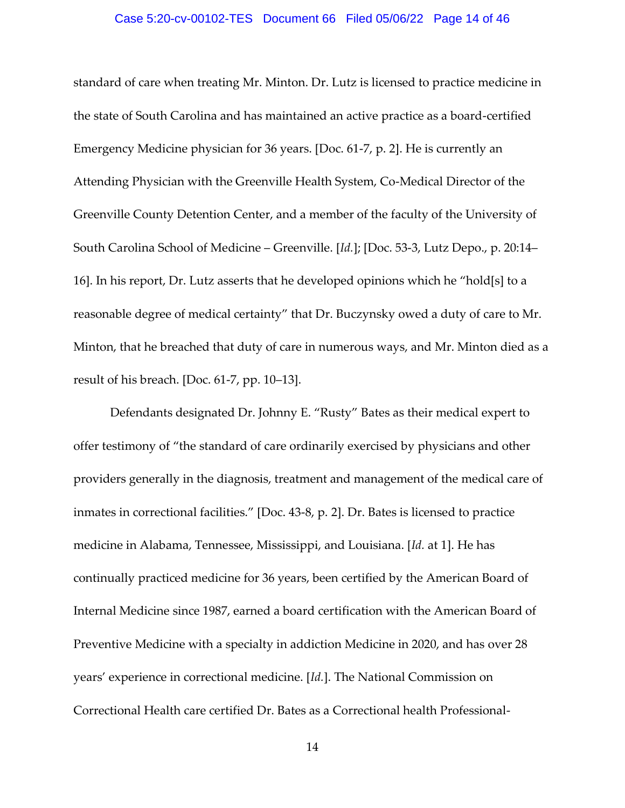#### Case 5:20-cv-00102-TES Document 66 Filed 05/06/22 Page 14 of 46

standard of care when treating Mr. Minton. Dr. Lutz is licensed to practice medicine in the state of South Carolina and has maintained an active practice as a board-certified Emergency Medicine physician for 36 years. [Doc. 61-7, p. 2]. He is currently an Attending Physician with the Greenville Health System, Co-Medical Director of the Greenville County Detention Center, and a member of the faculty of the University of South Carolina School of Medicine – Greenville. [*Id.*]; [Doc. 53-3, Lutz Depo., p. 20:14– 16]. In his report, Dr. Lutz asserts that he developed opinions which he "hold[s] to a reasonable degree of medical certainty" that Dr. Buczynsky owed a duty of care to Mr. Minton, that he breached that duty of care in numerous ways, and Mr. Minton died as a result of his breach. [Doc. 61-7, pp. 10–13].

Defendants designated Dr. Johnny E. "Rusty" Bates as their medical expert to offer testimony of "the standard of care ordinarily exercised by physicians and other providers generally in the diagnosis, treatment and management of the medical care of inmates in correctional facilities." [Doc. 43-8, p. 2]. Dr. Bates is licensed to practice medicine in Alabama, Tennessee, Mississippi, and Louisiana. [*Id.* at 1]. He has continually practiced medicine for 36 years, been certified by the American Board of Internal Medicine since 1987, earned a board certification with the American Board of Preventive Medicine with a specialty in addiction Medicine in 2020, and has over 28 years' experience in correctional medicine. [*Id.*]. The National Commission on Correctional Health care certified Dr. Bates as a Correctional health Professional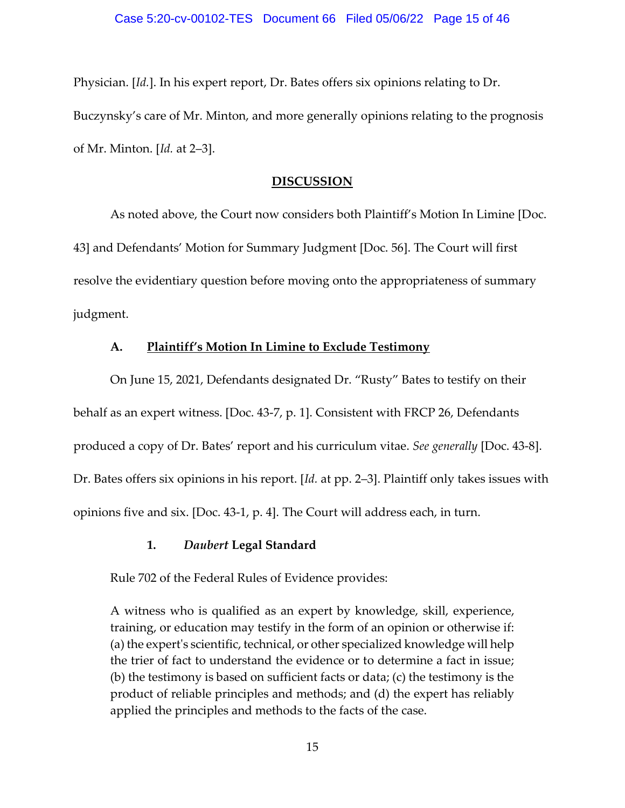Physician. [*Id.*]. In his expert report, Dr. Bates offers six opinions relating to Dr. Buczynsky's care of Mr. Minton, and more generally opinions relating to the prognosis of Mr. Minton. [*Id.* at 2–3].

#### **DISCUSSION**

As noted above, the Court now considers both Plaintiff's Motion In Limine [Doc. 43] and Defendants' Motion for Summary Judgment [Doc. 56]. The Court will first resolve the evidentiary question before moving onto the appropriateness of summary judgment.

### **A. Plaintiff's Motion In Limine to Exclude Testimony**

On June 15, 2021, Defendants designated Dr. "Rusty" Bates to testify on their behalf as an expert witness. [Doc. 43-7, p. 1]. Consistent with FRCP 26, Defendants produced a copy of Dr. Bates' report and his curriculum vitae. *See generally* [Doc. 43-8]. Dr. Bates offers six opinions in his report. [*Id.* at pp. 2–3]. Plaintiff only takes issues with opinions five and six. [Doc. 43-1, p. 4]. The Court will address each, in turn.

## **1.** *Daubert* **Legal Standard**

Rule 702 of the Federal Rules of Evidence provides:

A witness who is qualified as an expert by knowledge, skill, experience, training, or education may testify in the form of an opinion or otherwise if: (a) the expert's scientific, technical, or other specialized knowledge will help the trier of fact to understand the evidence or to determine a fact in issue; (b) the testimony is based on sufficient facts or data; (c) the testimony is the product of reliable principles and methods; and (d) the expert has reliably applied the principles and methods to the facts of the case.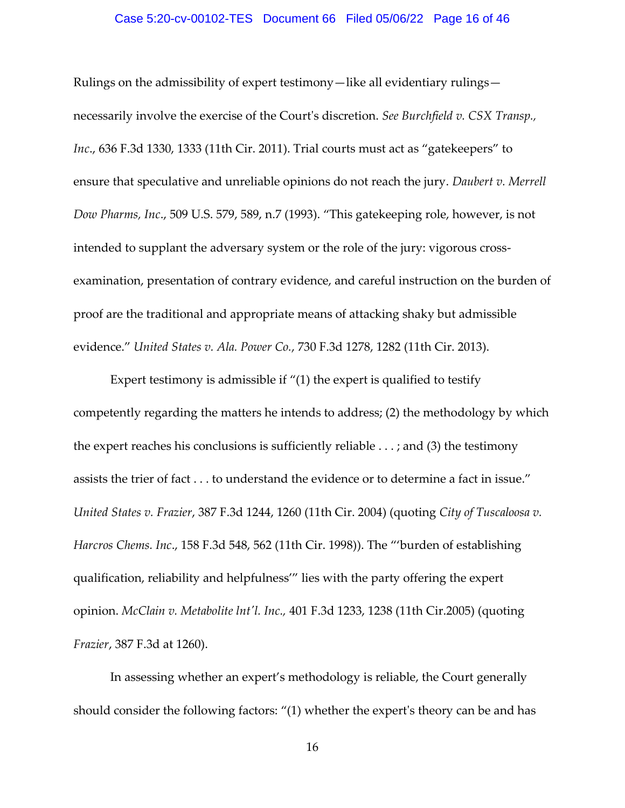#### Case 5:20-cv-00102-TES Document 66 Filed 05/06/22 Page 16 of 46

Rulings on the admissibility of expert testimony—like all evidentiary rulings necessarily involve the exercise of the Court's discretion. *See Burchfield v. CSX Transp., Inc*., 636 F.3d 1330, 1333 (11th Cir. 2011). Trial courts must act as "gatekeepers" to ensure that speculative and unreliable opinions do not reach the jury. *Daubert v. Merrell Dow Pharms, Inc*., 509 U.S. 579, 589, n.7 (1993). "This gatekeeping role, however, is not intended to supplant the adversary system or the role of the jury: vigorous crossexamination, presentation of contrary evidence, and careful instruction on the burden of proof are the traditional and appropriate means of attacking shaky but admissible evidence." *United States v. Ala. Power Co.*, 730 F.3d 1278, 1282 (11th Cir. 2013).

Expert testimony is admissible if "(1) the expert is qualified to testify competently regarding the matters he intends to address; (2) the methodology by which the expert reaches his conclusions is sufficiently reliable . . . ; and (3) the testimony assists the trier of fact . . . to understand the evidence or to determine a fact in issue." *United States v. Frazier*, 387 F.3d 1244, 1260 (11th Cir. 2004) (quoting *City of Tuscaloosa v. Harcros Chems. Inc*., 158 F.3d 548, 562 (11th Cir. 1998)). The "'burden of establishing qualification, reliability and helpfulness'" lies with the party offering the expert opinion. *McClain v. Metabolite lnt'l. Inc.,* 401 F.3d 1233, 1238 (11th Cir.2005) (quoting *Frazier*, 387 F.3d at 1260).

In assessing whether an expert's methodology is reliable, the Court generally should consider the following factors: "(1) whether the expert's theory can be and has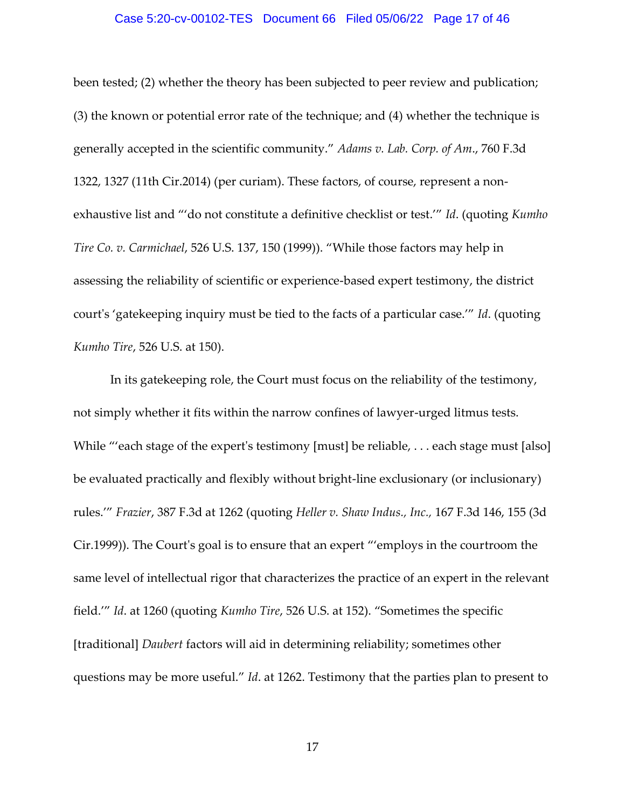#### Case 5:20-cv-00102-TES Document 66 Filed 05/06/22 Page 17 of 46

been tested; (2) whether the theory has been subjected to peer review and publication; (3) the known or potential error rate of the technique; and (4) whether the technique is generally accepted in the scientific community." *Adams v. Lab. Corp. of Am*., 760 F.3d 1322, 1327 (11th Cir.2014) (per curiam). These factors, of course, represent a nonexhaustive list and "'do not constitute a definitive checklist or test.'" *Id*. (quoting *Kumho Tire Co. v. Carmichael*, 526 U.S. 137, 150 (1999)). "While those factors may help in assessing the reliability of scientific or experience-based expert testimony, the district court's 'gatekeeping inquiry must be tied to the facts of a particular case.'" *Id*. (quoting *Kumho Tire*, 526 U.S. at 150).

In its gatekeeping role, the Court must focus on the reliability of the testimony, not simply whether it fits within the narrow confines of lawyer-urged litmus tests. While "'each stage of the expert's testimony [must] be reliable, . . . each stage must [also] be evaluated practically and flexibly without bright-line exclusionary (or inclusionary) rules.'" *Frazier*, 387 F.3d at 1262 (quoting *Heller v. Shaw Indus., Inc.,* 167 F.3d 146, 155 (3d Cir.1999)). The Court's goal is to ensure that an expert "'employs in the courtroom the same level of intellectual rigor that characterizes the practice of an expert in the relevant field.'" *Id*. at 1260 (quoting *Kumho Tire*, 526 U.S. at 152). "Sometimes the specific [traditional] *Daubert* factors will aid in determining reliability; sometimes other questions may be more useful." *Id*. at 1262. Testimony that the parties plan to present to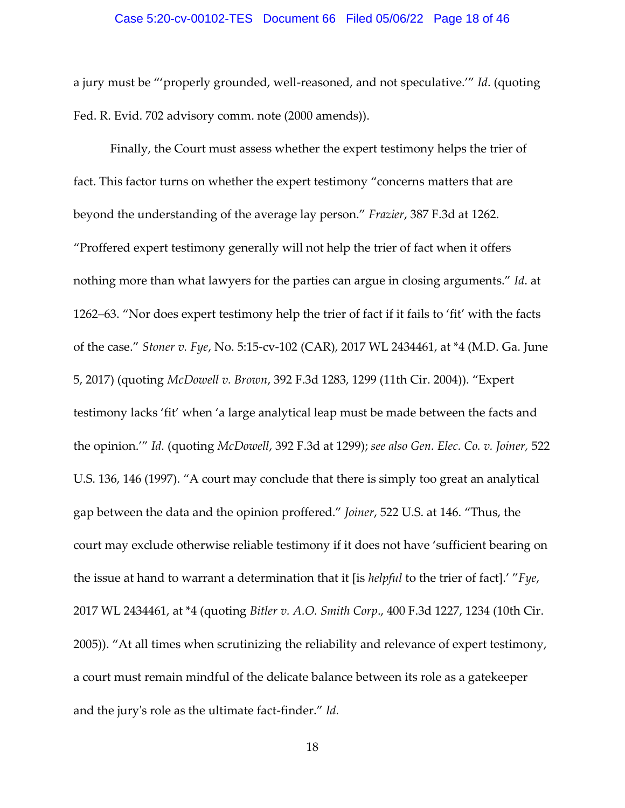a jury must be "'properly grounded, well-reasoned, and not speculative.'" *Id*. (quoting Fed. R. Evid. 702 advisory comm. note (2000 amends)).

Finally, the Court must assess whether the expert testimony helps the trier of fact. This factor turns on whether the expert testimony "concerns matters that are beyond the understanding of the average lay person." *Frazier*, 387 F.3d at 1262. "Proffered expert testimony generally will not help the trier of fact when it offers nothing more than what lawyers for the parties can argue in closing arguments." *Id*. at 1262–63. "Nor does expert testimony help the trier of fact if it fails to 'fit' with the facts of the case." *Stoner v. Fye*, No. 5:15-cv-102 (CAR), 2017 WL 2434461, at \*4 (M.D. Ga. June 5, 2017) (quoting *McDowell v. Brown*, 392 F.3d 1283, 1299 (11th Cir. 2004)). "Expert testimony lacks 'fit' when 'a large analytical leap must be made between the facts and the opinion.'" *Id.* (quoting *McDowell*, 392 F.3d at 1299); *see also Gen. Elec. Co. v. Joiner,* 522 U.S. 136, 146 (1997). "A court may conclude that there is simply too great an analytical gap between the data and the opinion proffered." *Joiner*, 522 U.S. at 146. "Thus, the court may exclude otherwise reliable testimony if it does not have 'sufficient bearing on the issue at hand to warrant a determination that it [is *helpful* to the trier of fact].' "*Fye*, 2017 WL 2434461, at \*4 (quoting *Bitler v. A.O. Smith Corp*., 400 F.3d 1227, 1234 (10th Cir. 2005)). "At all times when scrutinizing the reliability and relevance of expert testimony, a court must remain mindful of the delicate balance between its role as a gatekeeper and the jury's role as the ultimate fact-finder." *Id.*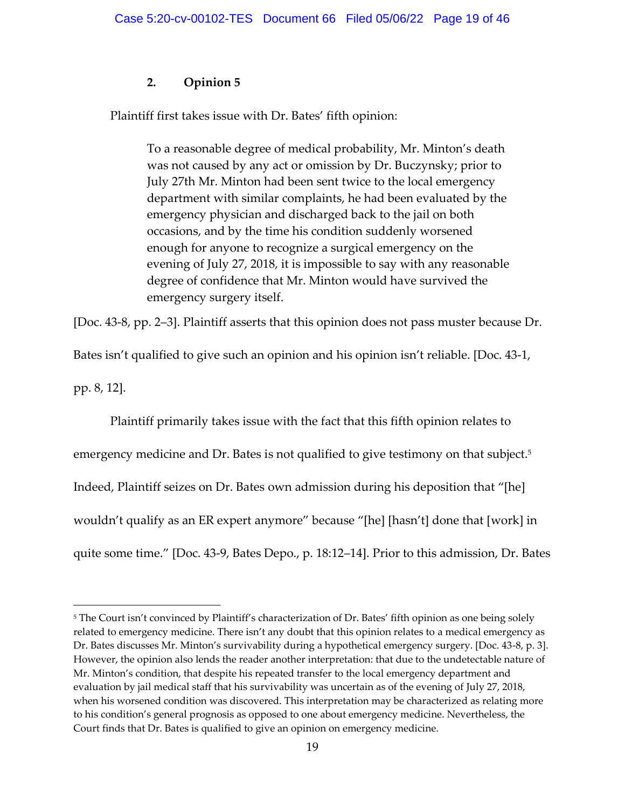# **2. Opinion 5**

Plaintiff first takes issue with Dr. Bates' fifth opinion:

To a reasonable degree of medical probability, Mr. Minton's death was not caused by any act or omission by Dr. Buczynsky; prior to July 27th Mr. Minton had been sent twice to the local emergency department with similar complaints, he had been evaluated by the emergency physician and discharged back to the jail on both occasions, and by the time his condition suddenly worsened enough for anyone to recognize a surgical emergency on the evening of July 27, 2018, it is impossible to say with any reasonable degree of confidence that Mr. Minton would have survived the emergency surgery itself.

[Doc. 43-8, pp. 2–3]. Plaintiff asserts that this opinion does not pass muster because Dr.

Bates isn't qualified to give such an opinion and his opinion isn't reliable. [Doc. 43-1,

pp. 8, 12].

Plaintiff primarily takes issue with the fact that this fifth opinion relates to emergency medicine and Dr. Bates is not qualified to give testimony on that subject.<sup>5</sup> Indeed, Plaintiff seizes on Dr. Bates own admission during his deposition that "[he] wouldn't qualify as an ER expert anymore" because "[he] [hasn't] done that [work] in quite some time." [Doc. 43-9, Bates Depo., p. 18:12–14]. Prior to this admission, Dr. Bates

<sup>&</sup>lt;sup>5</sup> The Court isn't convinced by Plaintiff's characterization of Dr. Bates' fifth opinion as one being solely related to emergency medicine. There isn't any doubt that this opinion relates to a medical emergency as Dr. Bates discusses Mr. Minton's survivability during a hypothetical emergency surgery. [Doc. 43-8, p. 3]. However, the opinion also lends the reader another interpretation: that due to the undetectable nature of Mr. Minton's condition, that despite his repeated transfer to the local emergency department and evaluation by jail medical staff that his survivability was uncertain as of the evening of July 27, 2018, when his worsened condition was discovered. This interpretation may be characterized as relating more to his condition's general prognosis as opposed to one about emergency medicine. Nevertheless, the Court finds that Dr. Bates is qualified to give an opinion on emergency medicine.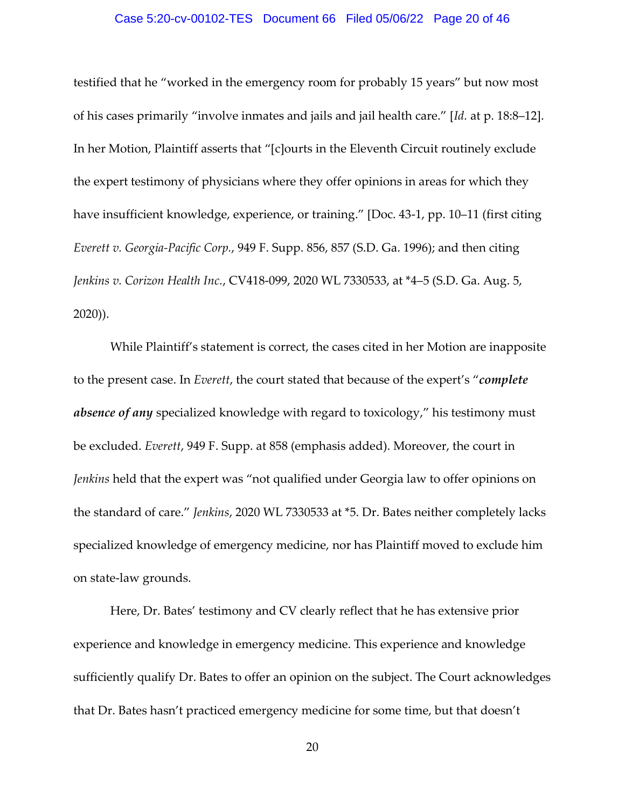#### Case 5:20-cv-00102-TES Document 66 Filed 05/06/22 Page 20 of 46

testified that he "worked in the emergency room for probably 15 years" but now most of his cases primarily "involve inmates and jails and jail health care." [*Id.* at p. 18:8–12]. In her Motion, Plaintiff asserts that "[c]ourts in the Eleventh Circuit routinely exclude the expert testimony of physicians where they offer opinions in areas for which they have insufficient knowledge, experience, or training." [Doc. 43-1, pp. 10-11 (first citing *Everett v. Georgia-Pacific Corp.*, 949 F. Supp. 856, 857 (S.D. Ga. 1996); and then citing *Jenkins v. Corizon Health Inc.*, CV418-099, 2020 WL 7330533, at \*4–5 (S.D. Ga. Aug. 5, 2020)).

While Plaintiff's statement is correct, the cases cited in her Motion are inapposite to the present case. In *Everett*, the court stated that because of the expert's "*complete absence of any* specialized knowledge with regard to toxicology," his testimony must be excluded. *Everett*, 949 F. Supp. at 858 (emphasis added). Moreover, the court in *Jenkins* held that the expert was "not qualified under Georgia law to offer opinions on the standard of care." *Jenkins*, 2020 WL 7330533 at \*5. Dr. Bates neither completely lacks specialized knowledge of emergency medicine, nor has Plaintiff moved to exclude him on state-law grounds.

Here, Dr. Bates' testimony and CV clearly reflect that he has extensive prior experience and knowledge in emergency medicine. This experience and knowledge sufficiently qualify Dr. Bates to offer an opinion on the subject. The Court acknowledges that Dr. Bates hasn't practiced emergency medicine for some time, but that doesn't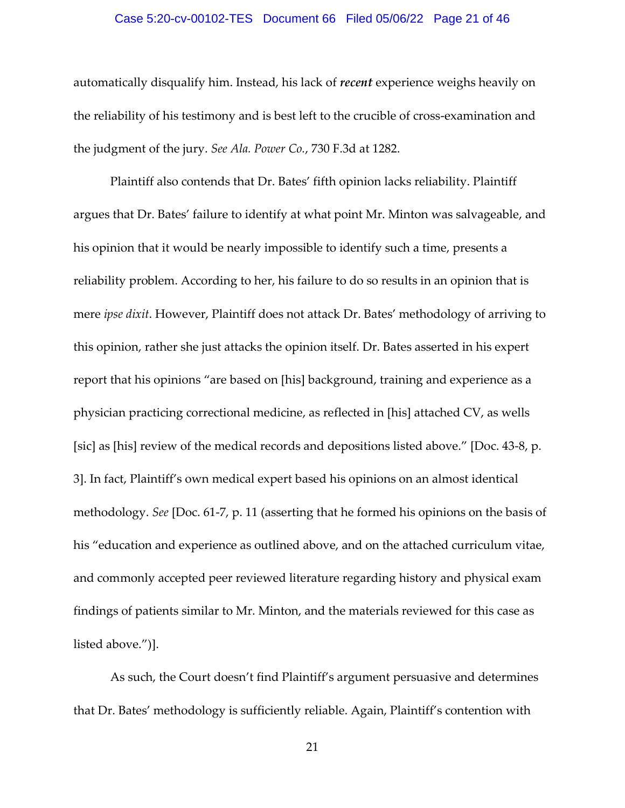#### Case 5:20-cv-00102-TES Document 66 Filed 05/06/22 Page 21 of 46

automatically disqualify him. Instead, his lack of *recent* experience weighs heavily on the reliability of his testimony and is best left to the crucible of cross-examination and the judgment of the jury. *See Ala. Power Co.*, 730 F.3d at 1282.

Plaintiff also contends that Dr. Bates' fifth opinion lacks reliability. Plaintiff argues that Dr. Bates' failure to identify at what point Mr. Minton was salvageable, and his opinion that it would be nearly impossible to identify such a time, presents a reliability problem. According to her, his failure to do so results in an opinion that is mere *ipse dixit*. However, Plaintiff does not attack Dr. Bates' methodology of arriving to this opinion, rather she just attacks the opinion itself. Dr. Bates asserted in his expert report that his opinions "are based on [his] background, training and experience as a physician practicing correctional medicine, as reflected in [his] attached CV, as wells [sic] as [his] review of the medical records and depositions listed above." [Doc. 43-8, p. 3]. In fact, Plaintiff's own medical expert based his opinions on an almost identical methodology. *See* [Doc. 61-7, p. 11 (asserting that he formed his opinions on the basis of his "education and experience as outlined above, and on the attached curriculum vitae, and commonly accepted peer reviewed literature regarding history and physical exam findings of patients similar to Mr. Minton, and the materials reviewed for this case as listed above.")].

As such, the Court doesn't find Plaintiff's argument persuasive and determines that Dr. Bates' methodology is sufficiently reliable. Again, Plaintiff's contention with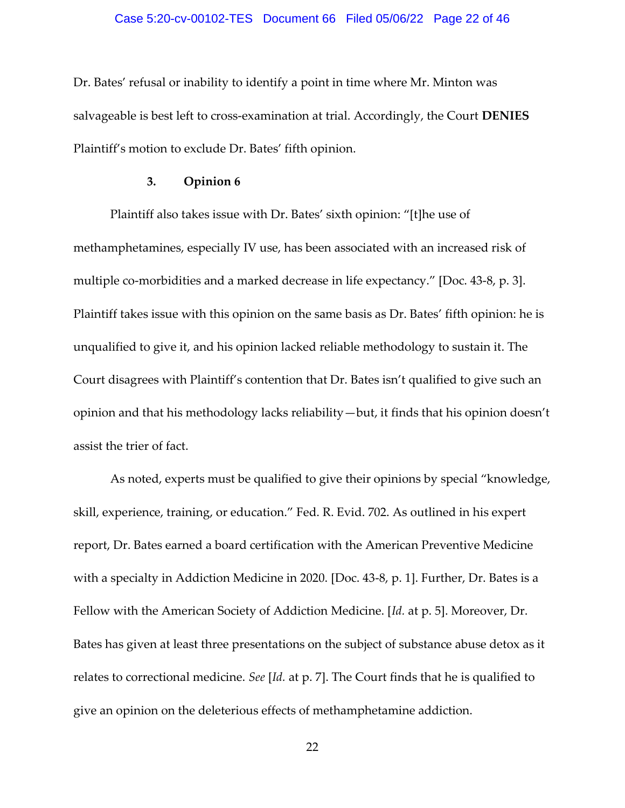#### Case 5:20-cv-00102-TES Document 66 Filed 05/06/22 Page 22 of 46

Dr. Bates' refusal or inability to identify a point in time where Mr. Minton was salvageable is best left to cross-examination at trial. Accordingly, the Court **DENIES**  Plaintiff's motion to exclude Dr. Bates' fifth opinion.

#### **3. Opinion 6**

Plaintiff also takes issue with Dr. Bates' sixth opinion: "[t]he use of methamphetamines, especially IV use, has been associated with an increased risk of multiple co-morbidities and a marked decrease in life expectancy." [Doc. 43-8, p. 3]. Plaintiff takes issue with this opinion on the same basis as Dr. Bates' fifth opinion: he is unqualified to give it, and his opinion lacked reliable methodology to sustain it. The Court disagrees with Plaintiff's contention that Dr. Bates isn't qualified to give such an opinion and that his methodology lacks reliability—but, it finds that his opinion doesn't assist the trier of fact.

As noted, experts must be qualified to give their opinions by special "knowledge, skill, experience, training, or education." Fed. R. Evid. 702. As outlined in his expert report, Dr. Bates earned a board certification with the American Preventive Medicine with a specialty in Addiction Medicine in 2020. [Doc. 43-8, p. 1]. Further, Dr. Bates is a Fellow with the American Society of Addiction Medicine. [*Id.* at p. 5]. Moreover, Dr. Bates has given at least three presentations on the subject of substance abuse detox as it relates to correctional medicine. *See* [*Id.* at p. 7]. The Court finds that he is qualified to give an opinion on the deleterious effects of methamphetamine addiction.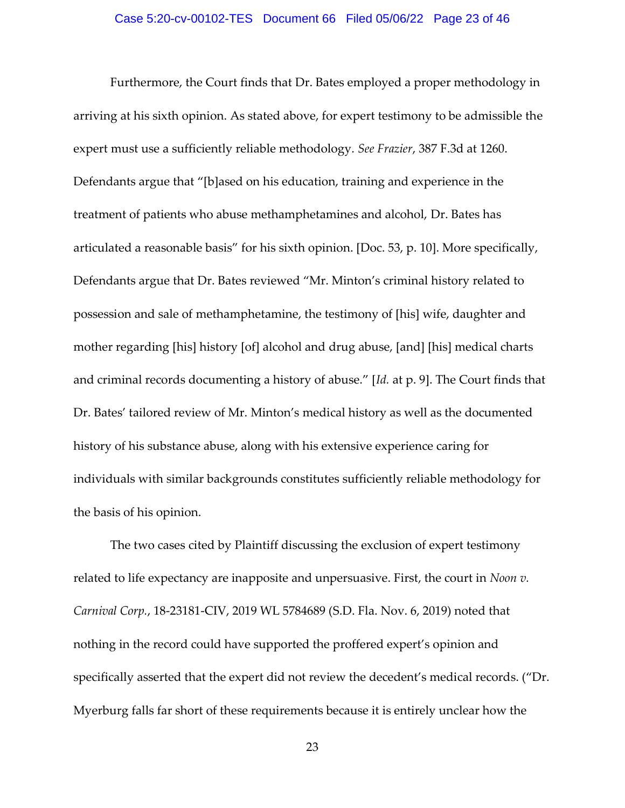#### Case 5:20-cv-00102-TES Document 66 Filed 05/06/22 Page 23 of 46

Furthermore, the Court finds that Dr. Bates employed a proper methodology in arriving at his sixth opinion. As stated above, for expert testimony to be admissible the expert must use a sufficiently reliable methodology. *See Frazier*, 387 F.3d at 1260. Defendants argue that "[b]ased on his education, training and experience in the treatment of patients who abuse methamphetamines and alcohol, Dr. Bates has articulated a reasonable basis" for his sixth opinion. [Doc. 53, p. 10]. More specifically, Defendants argue that Dr. Bates reviewed "Mr. Minton's criminal history related to possession and sale of methamphetamine, the testimony of [his] wife, daughter and mother regarding [his] history [of] alcohol and drug abuse, [and] [his] medical charts and criminal records documenting a history of abuse." [*Id.* at p. 9]. The Court finds that Dr. Bates' tailored review of Mr. Minton's medical history as well as the documented history of his substance abuse, along with his extensive experience caring for individuals with similar backgrounds constitutes sufficiently reliable methodology for the basis of his opinion.

The two cases cited by Plaintiff discussing the exclusion of expert testimony related to life expectancy are inapposite and unpersuasive. First, the court in *Noon v. Carnival Corp.*, 18-23181-CIV, 2019 WL 5784689 (S.D. Fla. Nov. 6, 2019) noted that nothing in the record could have supported the proffered expert's opinion and specifically asserted that the expert did not review the decedent's medical records. ("Dr. Myerburg falls far short of these requirements because it is entirely unclear how the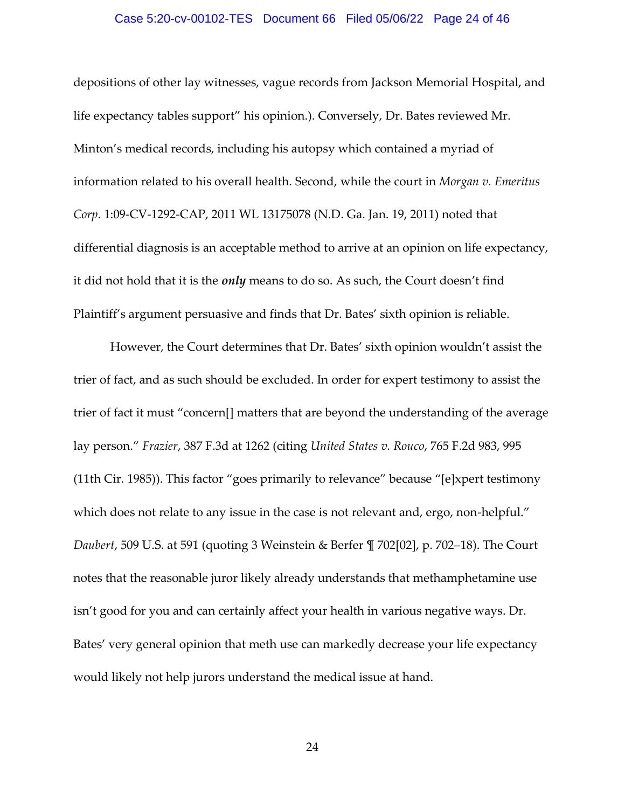#### Case 5:20-cv-00102-TES Document 66 Filed 05/06/22 Page 24 of 46

depositions of other lay witnesses, vague records from Jackson Memorial Hospital, and life expectancy tables support" his opinion.). Conversely, Dr. Bates reviewed Mr. Minton's medical records, including his autopsy which contained a myriad of information related to his overall health. Second, while the court in *Morgan v. Emeritus Corp*. 1:09-CV-1292-CAP, 2011 WL 13175078 (N.D. Ga. Jan. 19, 2011) noted that differential diagnosis is an acceptable method to arrive at an opinion on life expectancy, it did not hold that it is the *only* means to do so. As such, the Court doesn't find Plaintiff's argument persuasive and finds that Dr. Bates' sixth opinion is reliable.

However, the Court determines that Dr. Bates' sixth opinion wouldn't assist the trier of fact, and as such should be excluded. In order for expert testimony to assist the trier of fact it must "concern[] matters that are beyond the understanding of the average lay person." *Frazier*, 387 F.3d at 1262 (citing *United States v. Rouco*, 765 F.2d 983, 995 (11th Cir. 1985)). This factor "goes primarily to relevance" because "[e]xpert testimony which does not relate to any issue in the case is not relevant and, ergo, non-helpful." *Daubert*, 509 U.S. at 591 (quoting 3 Weinstein & Berfer ¶ 702[02], p. 702–18). The Court notes that the reasonable juror likely already understands that methamphetamine use isn't good for you and can certainly affect your health in various negative ways. Dr. Bates' very general opinion that meth use can markedly decrease your life expectancy would likely not help jurors understand the medical issue at hand.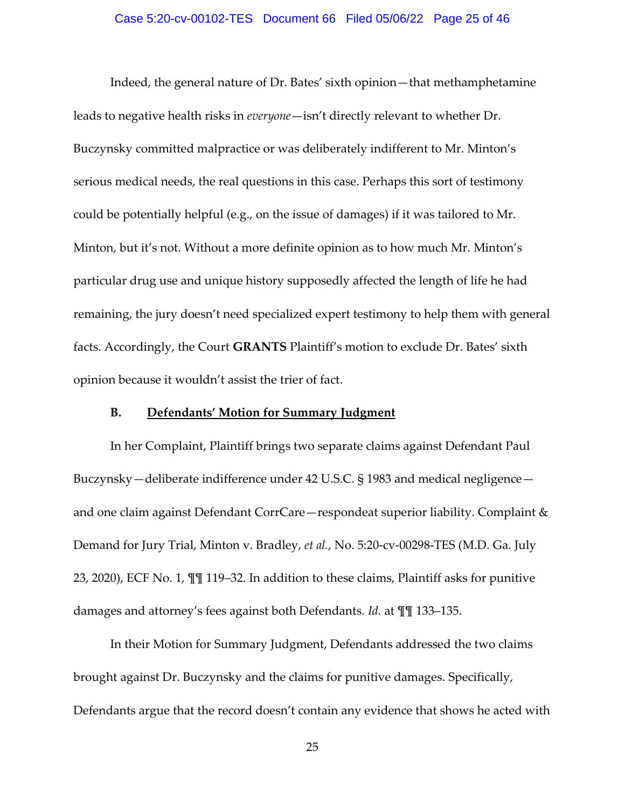#### Case 5:20-cv-00102-TES Document 66 Filed 05/06/22 Page 25 of 46

Indeed, the general nature of Dr. Bates' sixth opinion—that methamphetamine leads to negative health risks in *everyone*—isn't directly relevant to whether Dr. Buczynsky committed malpractice or was deliberately indifferent to Mr. Minton's serious medical needs, the real questions in this case. Perhaps this sort of testimony could be potentially helpful (e.g., on the issue of damages) if it was tailored to Mr. Minton, but it's not. Without a more definite opinion as to how much Mr. Minton's particular drug use and unique history supposedly affected the length of life he had remaining, the jury doesn't need specialized expert testimony to help them with general facts. Accordingly, the Court **GRANTS** Plaintiff's motion to exclude Dr. Bates' sixth opinion because it wouldn't assist the trier of fact.

#### **B. Defendants' Motion for Summary Judgment**

In her Complaint, Plaintiff brings two separate claims against Defendant Paul Buczynsky—deliberate indifference under 42 U.S.C. § 1983 and medical negligence and one claim against Defendant CorrCare—respondeat superior liability. Complaint & Demand for Jury Trial, Minton v. Bradley, *et al.*, No. 5:20-cv-00298-TES (M.D. Ga. July 23, 2020), ECF No. 1, ¶¶ 119–32. In addition to these claims, Plaintiff asks for punitive damages and attorney's fees against both Defendants. *Id.* at ¶¶ 133–135.

In their Motion for Summary Judgment, Defendants addressed the two claims brought against Dr. Buczynsky and the claims for punitive damages. Specifically, Defendants argue that the record doesn't contain any evidence that shows he acted with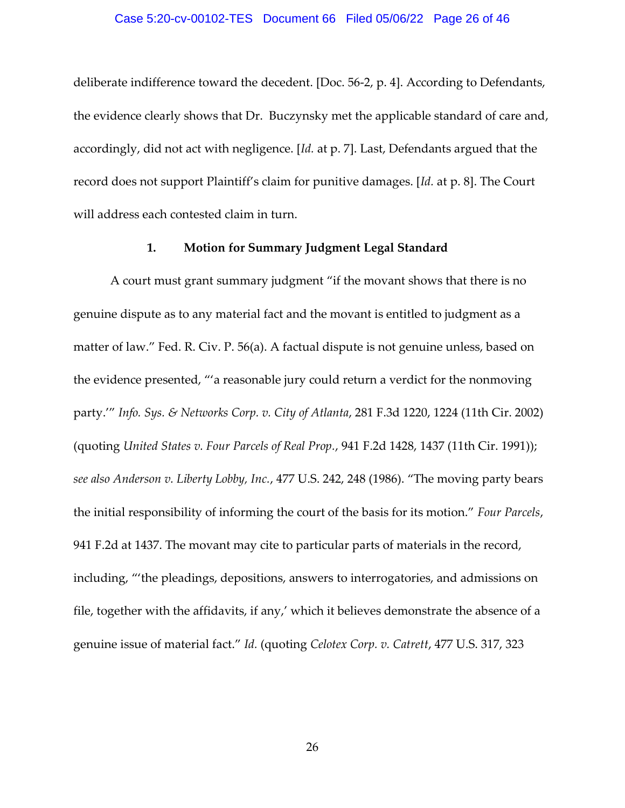#### Case 5:20-cv-00102-TES Document 66 Filed 05/06/22 Page 26 of 46

deliberate indifference toward the decedent. [Doc. 56-2, p. 4]. According to Defendants, the evidence clearly shows that Dr. Buczynsky met the applicable standard of care and, accordingly, did not act with negligence. [*Id.* at p. 7]. Last, Defendants argued that the record does not support Plaintiff's claim for punitive damages. [*Id.* at p. 8]. The Court will address each contested claim in turn.

#### **1. Motion for Summary Judgment Legal Standard**

A court must grant summary judgment "if the movant shows that there is no genuine dispute as to any material fact and the movant is entitled to judgment as a matter of law." Fed. R. Civ. P. 56(a). A factual dispute is not genuine unless, based on the evidence presented, "'a reasonable jury could return a verdict for the nonmoving party.'" *Info. Sys. & Networks Corp. v. City of Atlanta*, 281 F.3d 1220, 1224 (11th Cir. 2002) (quoting *United States v. Four Parcels of Real Prop.*, 941 F.2d 1428, 1437 (11th Cir. 1991)); *see also Anderson v. Liberty Lobby, Inc.*, 477 U.S. 242, 248 (1986). "The moving party bears the initial responsibility of informing the court of the basis for its motion." *Four Parcels*, 941 F.2d at 1437. The movant may cite to particular parts of materials in the record, including, "'the pleadings, depositions, answers to interrogatories, and admissions on file, together with the affidavits, if any,' which it believes demonstrate the absence of a genuine issue of material fact." *Id.* (quoting *Celotex Corp. v. Catrett*, 477 U.S. 317, 323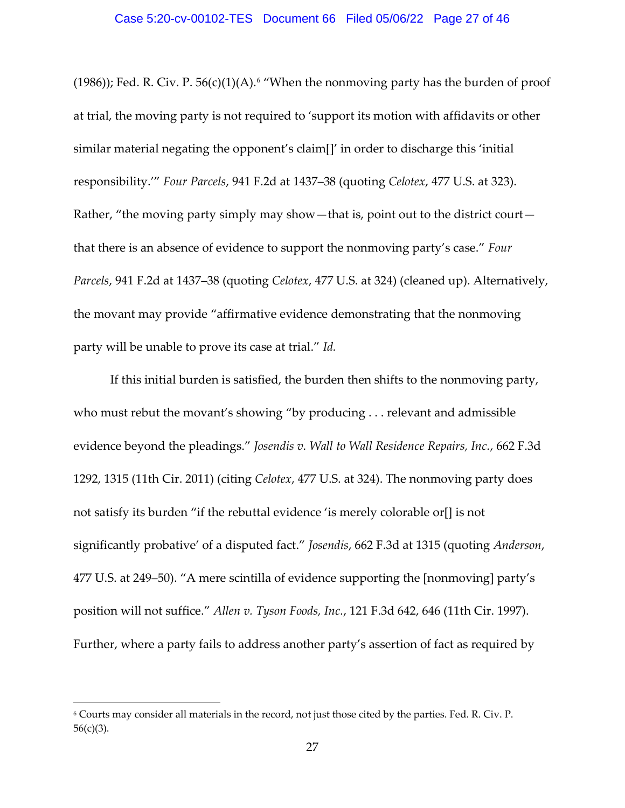(1986)); Fed. R. Civ. P.  $56(c)(1)(A)$ .<sup>6</sup> "When the nonmoving party has the burden of proof at trial, the moving party is not required to 'support its motion with affidavits or other similar material negating the opponent's claim[]' in order to discharge this 'initial responsibility.'" *Four Parcels*, 941 F.2d at 1437–38 (quoting *Celotex*, 477 U.S. at 323). Rather, "the moving party simply may show—that is, point out to the district court that there is an absence of evidence to support the nonmoving party's case." *Four Parcels*, 941 F.2d at 1437–38 (quoting *Celotex*, 477 U.S. at 324) (cleaned up). Alternatively, the movant may provide "affirmative evidence demonstrating that the nonmoving party will be unable to prove its case at trial." *Id.* 

If this initial burden is satisfied, the burden then shifts to the nonmoving party, who must rebut the movant's showing "by producing . . . relevant and admissible evidence beyond the pleadings." *Josendis v. Wall to Wall Residence Repairs, Inc.*, 662 F.3d 1292, 1315 (11th Cir. 2011) (citing *Celotex*, 477 U.S. at 324). The nonmoving party does not satisfy its burden "if the rebuttal evidence 'is merely colorable or[] is not significantly probative' of a disputed fact." *Josendis*, 662 F.3d at 1315 (quoting *Anderson*, 477 U.S. at 249–50). "A mere scintilla of evidence supporting the [nonmoving] party's position will not suffice." *Allen v. Tyson Foods, Inc.*, 121 F.3d 642, 646 (11th Cir. 1997). Further, where a party fails to address another party's assertion of fact as required by

<sup>6</sup> Courts may consider all materials in the record, not just those cited by the parties. Fed. R. Civ. P. 56(c)(3).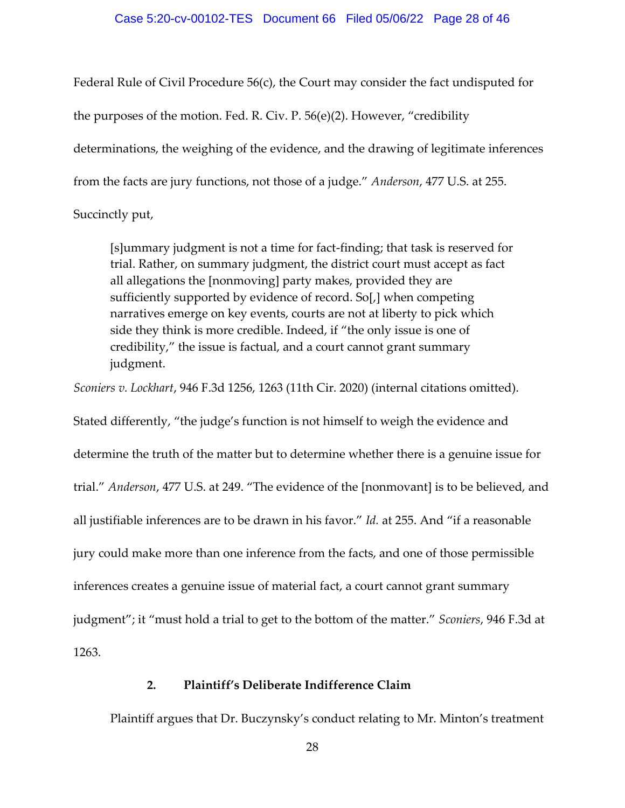### Case 5:20-cv-00102-TES Document 66 Filed 05/06/22 Page 28 of 46

Federal Rule of Civil Procedure 56(c), the Court may consider the fact undisputed for the purposes of the motion. Fed. R. Civ. P. 56(e)(2). However, "credibility determinations, the weighing of the evidence, and the drawing of legitimate inferences from the facts are jury functions, not those of a judge." *Anderson*, 477 U.S. at 255. Succinctly put,

[s]ummary judgment is not a time for fact-finding; that task is reserved for trial. Rather, on summary judgment, the district court must accept as fact all allegations the [nonmoving] party makes, provided they are sufficiently supported by evidence of record. So[,] when competing narratives emerge on key events, courts are not at liberty to pick which side they think is more credible. Indeed, if "the only issue is one of credibility," the issue is factual, and a court cannot grant summary judgment.

*Sconiers v. Lockhart*, 946 F.3d 1256, 1263 (11th Cir. 2020) (internal citations omitted).

Stated differently, "the judge's function is not himself to weigh the evidence and determine the truth of the matter but to determine whether there is a genuine issue for trial." *Anderson*, 477 U.S. at 249. "The evidence of the [nonmovant] is to be believed, and all justifiable inferences are to be drawn in his favor." *Id.* at 255. And "if a reasonable jury could make more than one inference from the facts, and one of those permissible inferences creates a genuine issue of material fact, a court cannot grant summary judgment"; it "must hold a trial to get to the bottom of the matter." *Sconiers*, 946 F.3d at 1263.

## **2. Plaintiff's Deliberate Indifference Claim**

Plaintiff argues that Dr. Buczynsky's conduct relating to Mr. Minton's treatment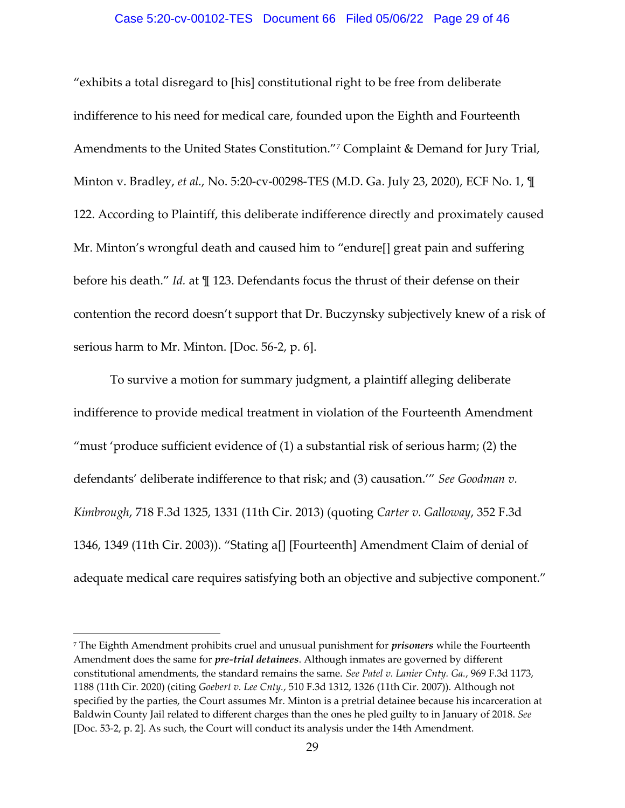#### Case 5:20-cv-00102-TES Document 66 Filed 05/06/22 Page 29 of 46

"exhibits a total disregard to [his] constitutional right to be free from deliberate indifference to his need for medical care, founded upon the Eighth and Fourteenth Amendments to the United States Constitution."<sup>7</sup> Complaint & Demand for Jury Trial, Minton v. Bradley, *et al.*, No. 5:20-cv-00298-TES (M.D. Ga. July 23, 2020), ECF No. 1, ¶ 122. According to Plaintiff, this deliberate indifference directly and proximately caused Mr. Minton's wrongful death and caused him to "endure[] great pain and suffering before his death." *Id.* at ¶ 123. Defendants focus the thrust of their defense on their contention the record doesn't support that Dr. Buczynsky subjectively knew of a risk of serious harm to Mr. Minton. [Doc. 56-2, p. 6].

To survive a motion for summary judgment, a plaintiff alleging deliberate indifference to provide medical treatment in violation of the Fourteenth Amendment "must 'produce sufficient evidence of (1) a substantial risk of serious harm; (2) the defendants' deliberate indifference to that risk; and (3) causation.'" *See Goodman v. Kimbrough*, 718 F.3d 1325, 1331 (11th Cir. 2013) (quoting *Carter v. Galloway*, 352 F.3d 1346, 1349 (11th Cir. 2003)). "Stating a[] [Fourteenth] Amendment Claim of denial of adequate medical care requires satisfying both an objective and subjective component."

<sup>7</sup> The Eighth Amendment prohibits cruel and unusual punishment for *prisoners* while the Fourteenth Amendment does the same for *pre-trial detainees*. Although inmates are governed by different constitutional amendments, the standard remains the same. *See Patel v. Lanier Cnty. Ga.*, 969 F.3d 1173, 1188 (11th Cir. 2020) (citing *Goebert v. Lee Cnty.*, 510 F.3d 1312, 1326 (11th Cir. 2007)). Although not specified by the parties, the Court assumes Mr. Minton is a pretrial detainee because his incarceration at Baldwin County Jail related to different charges than the ones he pled guilty to in January of 2018. *See*  [Doc. 53-2, p. 2]. As such, the Court will conduct its analysis under the 14th Amendment.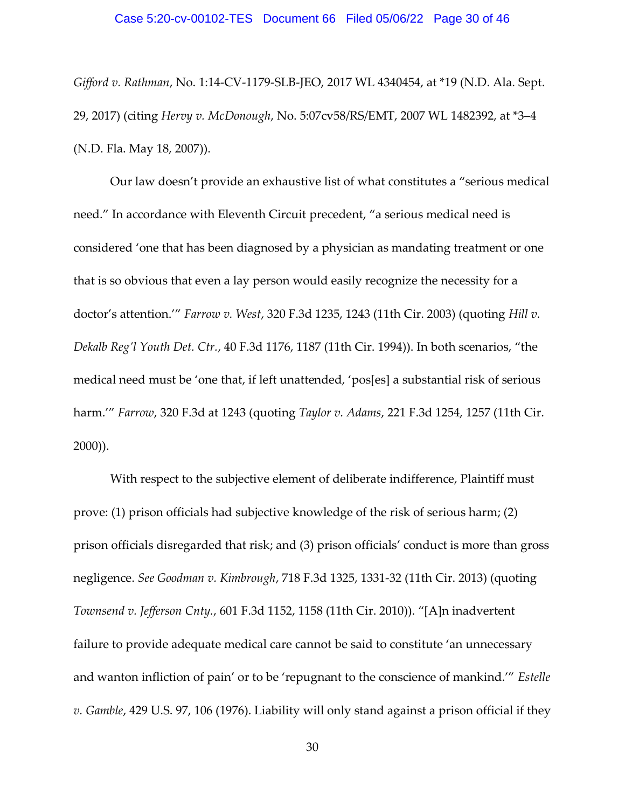*Gifford v. Rathman*, No. 1:14-CV-1179-SLB-JEO, 2017 WL 4340454, at \*19 (N.D. Ala. Sept. 29, 2017) (citing *Hervy v. McDonough*, No. 5:07cv58/RS/EMT, 2007 WL 1482392, at \*3–4 (N.D. Fla. May 18, 2007)).

Our law doesn't provide an exhaustive list of what constitutes a "serious medical need." In accordance with Eleventh Circuit precedent, "a serious medical need is considered 'one that has been diagnosed by a physician as mandating treatment or one that is so obvious that even a lay person would easily recognize the necessity for a doctor's attention.'" *Farrow v. West*, 320 F.3d 1235, 1243 (11th Cir. 2003) (quoting *Hill v. Dekalb Reg'l Youth Det. Ctr.*, 40 F.3d 1176, 1187 (11th Cir. 1994)). In both scenarios, "the medical need must be 'one that, if left unattended, 'pos[es] a substantial risk of serious harm.'" *Farrow*, 320 F.3d at 1243 (quoting *Taylor v. Adams*, 221 F.3d 1254, 1257 (11th Cir. 2000)).

With respect to the subjective element of deliberate indifference, Plaintiff must prove: (1) prison officials had subjective knowledge of the risk of serious harm; (2) prison officials disregarded that risk; and (3) prison officials' conduct is more than gross negligence. *See Goodman v. Kimbrough*, 718 F.3d 1325, 1331-32 (11th Cir. 2013) (quoting *Townsend v. Jefferson Cnty.*, 601 F.3d 1152, 1158 (11th Cir. 2010)). "[A]n inadvertent failure to provide adequate medical care cannot be said to constitute 'an unnecessary and wanton infliction of pain' or to be 'repugnant to the conscience of mankind.'" *Estelle v. Gamble*, 429 U.S. 97, 106 (1976). Liability will only stand against a prison official if they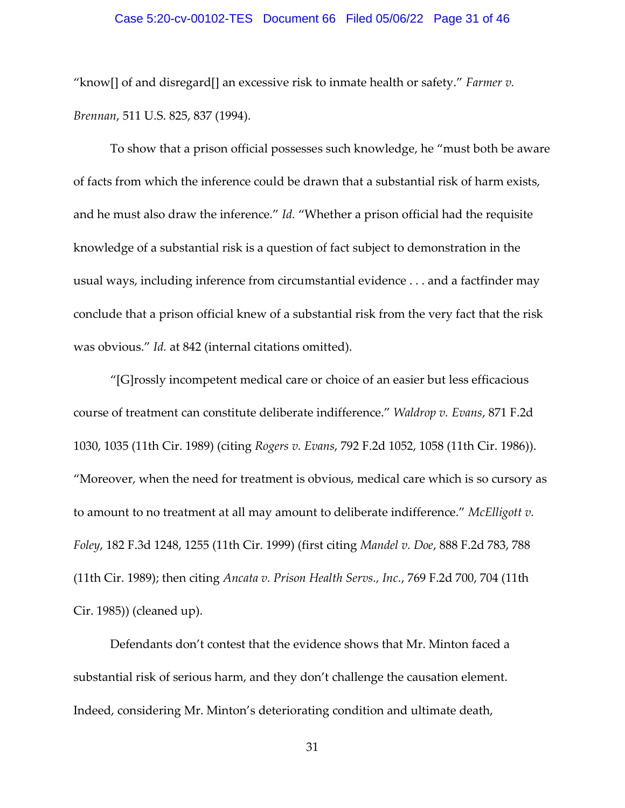#### Case 5:20-cv-00102-TES Document 66 Filed 05/06/22 Page 31 of 46

"know[] of and disregard[] an excessive risk to inmate health or safety." *Farmer v. Brennan*, 511 U.S. 825, 837 (1994).

To show that a prison official possesses such knowledge, he "must both be aware of facts from which the inference could be drawn that a substantial risk of harm exists, and he must also draw the inference." *Id.* "Whether a prison official had the requisite knowledge of a substantial risk is a question of fact subject to demonstration in the usual ways, including inference from circumstantial evidence . . . and a factfinder may conclude that a prison official knew of a substantial risk from the very fact that the risk was obvious." *Id.* at 842 (internal citations omitted).

"[G]rossly incompetent medical care or choice of an easier but less efficacious course of treatment can constitute deliberate indifference." *Waldrop v. Evans*, 871 F.2d 1030, 1035 (11th Cir. 1989) (citing *Rogers v. Evans*, 792 F.2d 1052, 1058 (11th Cir. 1986)). "Moreover, when the need for treatment is obvious, medical care which is so cursory as to amount to no treatment at all may amount to deliberate indifference." *McElligott v. Foley*, 182 F.3d 1248, 1255 (11th Cir. 1999) (first citing *Mandel v. Doe*, 888 F.2d 783, 788 (11th Cir. 1989); then citing *Ancata v. Prison Health Servs., Inc.*, 769 F.2d 700, 704 (11th Cir. 1985)) (cleaned up).

Defendants don't contest that the evidence shows that Mr. Minton faced a substantial risk of serious harm, and they don't challenge the causation element. Indeed, considering Mr. Minton's deteriorating condition and ultimate death,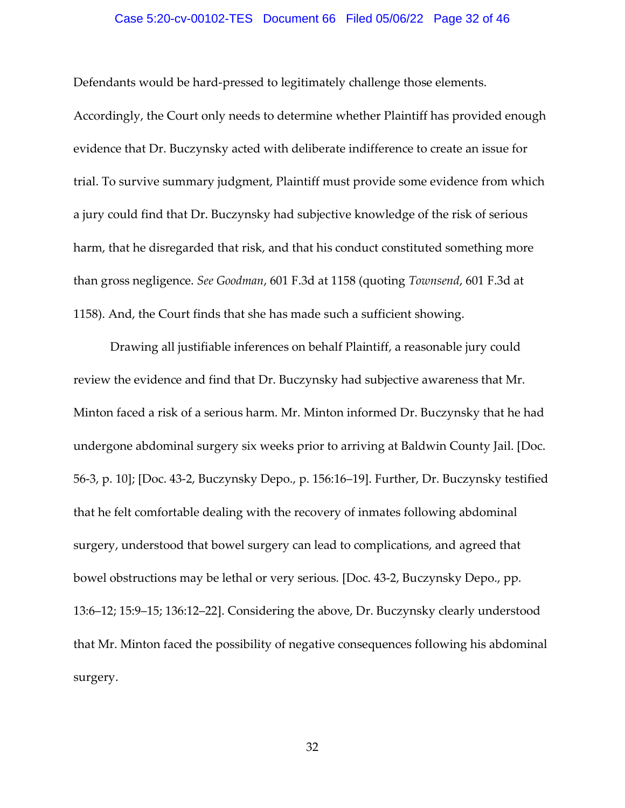#### Case 5:20-cv-00102-TES Document 66 Filed 05/06/22 Page 32 of 46

Defendants would be hard-pressed to legitimately challenge those elements.

Accordingly, the Court only needs to determine whether Plaintiff has provided enough evidence that Dr. Buczynsky acted with deliberate indifference to create an issue for trial. To survive summary judgment, Plaintiff must provide some evidence from which a jury could find that Dr. Buczynsky had subjective knowledge of the risk of serious harm, that he disregarded that risk, and that his conduct constituted something more than gross negligence. *See Goodman*, 601 F.3d at 1158 (quoting *Townsend*, 601 F.3d at 1158). And, the Court finds that she has made such a sufficient showing.

Drawing all justifiable inferences on behalf Plaintiff, a reasonable jury could review the evidence and find that Dr. Buczynsky had subjective awareness that Mr. Minton faced a risk of a serious harm. Mr. Minton informed Dr. Buczynsky that he had undergone abdominal surgery six weeks prior to arriving at Baldwin County Jail. [Doc. 56-3, p. 10]; [Doc. 43-2, Buczynsky Depo., p. 156:16–19]. Further, Dr. Buczynsky testified that he felt comfortable dealing with the recovery of inmates following abdominal surgery, understood that bowel surgery can lead to complications, and agreed that bowel obstructions may be lethal or very serious. [Doc. 43-2, Buczynsky Depo., pp. 13:6–12; 15:9–15; 136:12–22]. Considering the above, Dr. Buczynsky clearly understood that Mr. Minton faced the possibility of negative consequences following his abdominal surgery.

32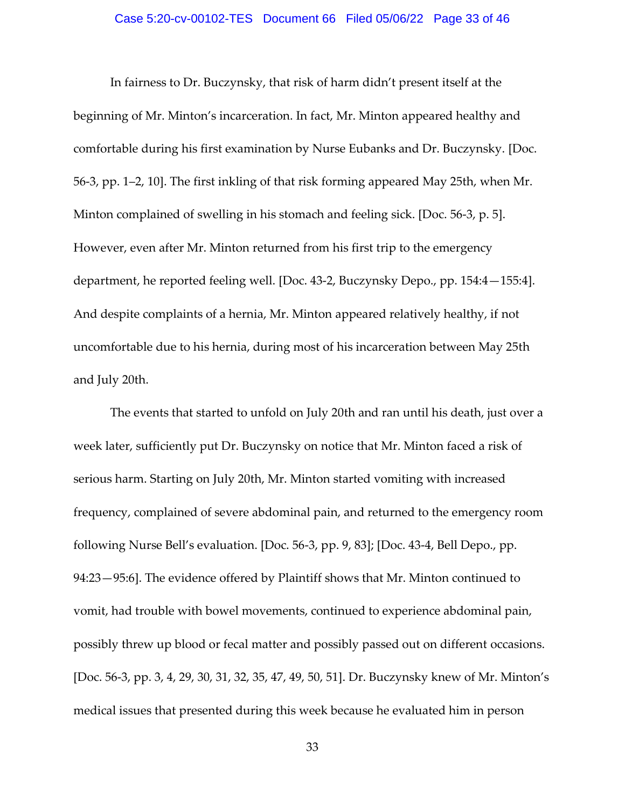#### Case 5:20-cv-00102-TES Document 66 Filed 05/06/22 Page 33 of 46

In fairness to Dr. Buczynsky, that risk of harm didn't present itself at the beginning of Mr. Minton's incarceration. In fact, Mr. Minton appeared healthy and comfortable during his first examination by Nurse Eubanks and Dr. Buczynsky. [Doc. 56-3, pp. 1–2, 10]. The first inkling of that risk forming appeared May 25th, when Mr. Minton complained of swelling in his stomach and feeling sick. [Doc. 56-3, p. 5]. However, even after Mr. Minton returned from his first trip to the emergency department, he reported feeling well. [Doc. 43-2, Buczynsky Depo., pp. 154:4—155:4]. And despite complaints of a hernia, Mr. Minton appeared relatively healthy, if not uncomfortable due to his hernia, during most of his incarceration between May 25th and July 20th.

The events that started to unfold on July 20th and ran until his death, just over a week later, sufficiently put Dr. Buczynsky on notice that Mr. Minton faced a risk of serious harm. Starting on July 20th, Mr. Minton started vomiting with increased frequency, complained of severe abdominal pain, and returned to the emergency room following Nurse Bell's evaluation. [Doc. 56-3, pp. 9, 83]; [Doc. 43-4, Bell Depo., pp. 94:23—95:6]. The evidence offered by Plaintiff shows that Mr. Minton continued to vomit, had trouble with bowel movements, continued to experience abdominal pain, possibly threw up blood or fecal matter and possibly passed out on different occasions. [Doc. 56-3, pp. 3, 4, 29, 30, 31, 32, 35, 47, 49, 50, 51]. Dr. Buczynsky knew of Mr. Minton's medical issues that presented during this week because he evaluated him in person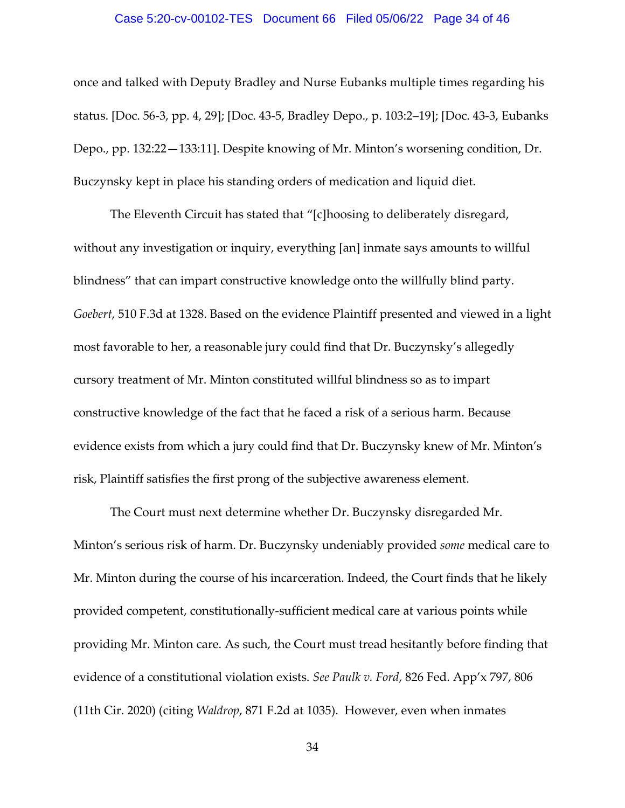#### Case 5:20-cv-00102-TES Document 66 Filed 05/06/22 Page 34 of 46

once and talked with Deputy Bradley and Nurse Eubanks multiple times regarding his status. [Doc. 56-3, pp. 4, 29]; [Doc. 43-5, Bradley Depo., p. 103:2–19]; [Doc. 43-3, Eubanks Depo., pp. 132:22—133:11]. Despite knowing of Mr. Minton's worsening condition, Dr. Buczynsky kept in place his standing orders of medication and liquid diet.

The Eleventh Circuit has stated that "[c]hoosing to deliberately disregard, without any investigation or inquiry, everything [an] inmate says amounts to willful blindness" that can impart constructive knowledge onto the willfully blind party. *Goebert*, 510 F.3d at 1328. Based on the evidence Plaintiff presented and viewed in a light most favorable to her, a reasonable jury could find that Dr. Buczynsky's allegedly cursory treatment of Mr. Minton constituted willful blindness so as to impart constructive knowledge of the fact that he faced a risk of a serious harm. Because evidence exists from which a jury could find that Dr. Buczynsky knew of Mr. Minton's risk, Plaintiff satisfies the first prong of the subjective awareness element.

The Court must next determine whether Dr. Buczynsky disregarded Mr. Minton's serious risk of harm. Dr. Buczynsky undeniably provided *some* medical care to Mr. Minton during the course of his incarceration. Indeed, the Court finds that he likely provided competent, constitutionally-sufficient medical care at various points while providing Mr. Minton care. As such, the Court must tread hesitantly before finding that evidence of a constitutional violation exists. *See Paulk v. Ford*, 826 Fed. App'x 797, 806 (11th Cir. 2020) (citing *Waldrop*, 871 F.2d at 1035). However, even when inmates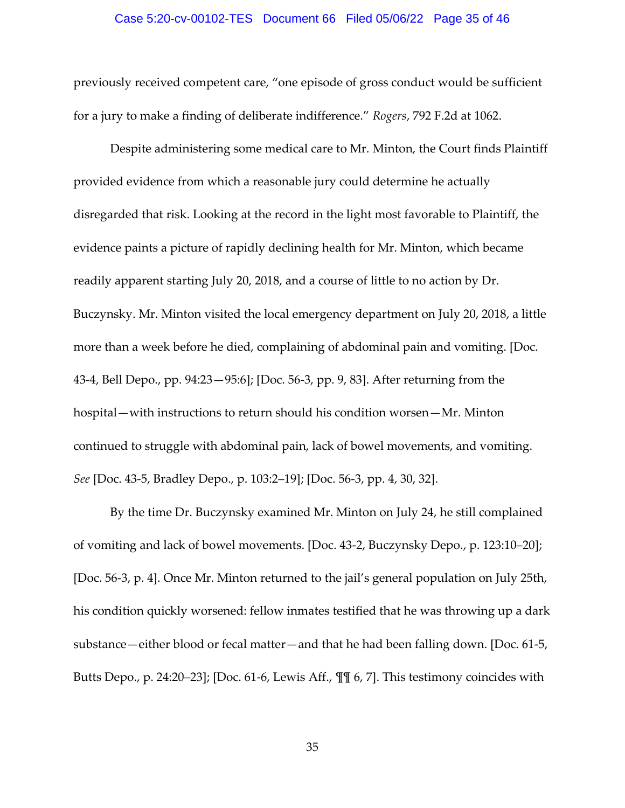#### Case 5:20-cv-00102-TES Document 66 Filed 05/06/22 Page 35 of 46

previously received competent care, "one episode of gross conduct would be sufficient for a jury to make a finding of deliberate indifference." *Rogers*, 792 F.2d at 1062.

Despite administering some medical care to Mr. Minton, the Court finds Plaintiff provided evidence from which a reasonable jury could determine he actually disregarded that risk. Looking at the record in the light most favorable to Plaintiff, the evidence paints a picture of rapidly declining health for Mr. Minton, which became readily apparent starting July 20, 2018, and a course of little to no action by Dr. Buczynsky. Mr. Minton visited the local emergency department on July 20, 2018, a little more than a week before he died, complaining of abdominal pain and vomiting. [Doc. 43-4, Bell Depo., pp. 94:23—95:6]; [Doc. 56-3, pp. 9, 83]. After returning from the hospital—with instructions to return should his condition worsen—Mr. Minton continued to struggle with abdominal pain, lack of bowel movements, and vomiting. *See* [Doc. 43-5, Bradley Depo., p. 103:2–19]; [Doc. 56-3, pp. 4, 30, 32].

By the time Dr. Buczynsky examined Mr. Minton on July 24, he still complained of vomiting and lack of bowel movements. [Doc. 43-2, Buczynsky Depo., p. 123:10–20]; [Doc. 56-3, p. 4]. Once Mr. Minton returned to the jail's general population on July 25th, his condition quickly worsened: fellow inmates testified that he was throwing up a dark substance—either blood or fecal matter—and that he had been falling down. [Doc. 61-5, Butts Depo., p. 24:20–23]; [Doc. 61-6, Lewis Aff., ¶¶ 6, 7]. This testimony coincides with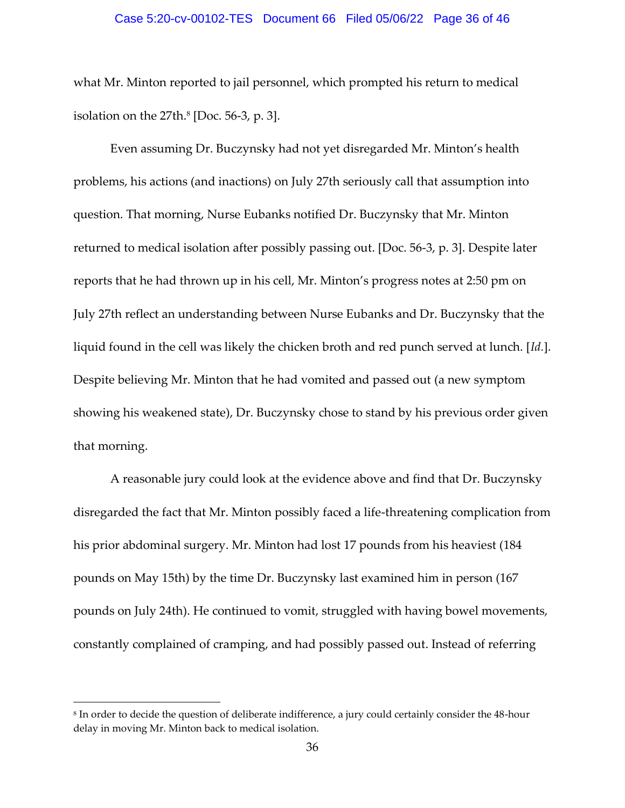#### Case 5:20-cv-00102-TES Document 66 Filed 05/06/22 Page 36 of 46

what Mr. Minton reported to jail personnel, which prompted his return to medical isolation on the 27th. 8 [Doc. 56-3, p. 3].

Even assuming Dr. Buczynsky had not yet disregarded Mr. Minton's health problems, his actions (and inactions) on July 27th seriously call that assumption into question. That morning, Nurse Eubanks notified Dr. Buczynsky that Mr. Minton returned to medical isolation after possibly passing out. [Doc. 56-3, p. 3]. Despite later reports that he had thrown up in his cell, Mr. Minton's progress notes at 2:50 pm on July 27th reflect an understanding between Nurse Eubanks and Dr. Buczynsky that the liquid found in the cell was likely the chicken broth and red punch served at lunch. [*Id.*]. Despite believing Mr. Minton that he had vomited and passed out (a new symptom showing his weakened state), Dr. Buczynsky chose to stand by his previous order given that morning.

A reasonable jury could look at the evidence above and find that Dr. Buczynsky disregarded the fact that Mr. Minton possibly faced a life-threatening complication from his prior abdominal surgery. Mr. Minton had lost 17 pounds from his heaviest (184 pounds on May 15th) by the time Dr. Buczynsky last examined him in person (167 pounds on July 24th). He continued to vomit, struggled with having bowel movements, constantly complained of cramping, and had possibly passed out. Instead of referring

<sup>8</sup> In order to decide the question of deliberate indifference, a jury could certainly consider the 48-hour delay in moving Mr. Minton back to medical isolation.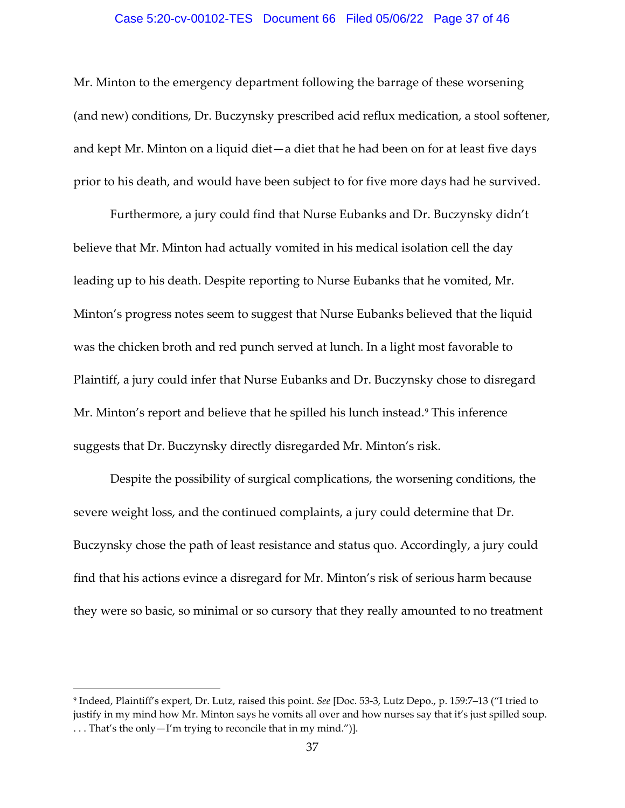#### Case 5:20-cv-00102-TES Document 66 Filed 05/06/22 Page 37 of 46

Mr. Minton to the emergency department following the barrage of these worsening (and new) conditions, Dr. Buczynsky prescribed acid reflux medication, a stool softener, and kept Mr. Minton on a liquid diet—a diet that he had been on for at least five days prior to his death, and would have been subject to for five more days had he survived.

Furthermore, a jury could find that Nurse Eubanks and Dr. Buczynsky didn't believe that Mr. Minton had actually vomited in his medical isolation cell the day leading up to his death. Despite reporting to Nurse Eubanks that he vomited, Mr. Minton's progress notes seem to suggest that Nurse Eubanks believed that the liquid was the chicken broth and red punch served at lunch. In a light most favorable to Plaintiff, a jury could infer that Nurse Eubanks and Dr. Buczynsky chose to disregard Mr. Minton's report and believe that he spilled his lunch instead.<sup>9</sup> This inference suggests that Dr. Buczynsky directly disregarded Mr. Minton's risk.

Despite the possibility of surgical complications, the worsening conditions, the severe weight loss, and the continued complaints, a jury could determine that Dr. Buczynsky chose the path of least resistance and status quo. Accordingly, a jury could find that his actions evince a disregard for Mr. Minton's risk of serious harm because they were so basic, so minimal or so cursory that they really amounted to no treatment

<sup>9</sup> Indeed, Plaintiff's expert, Dr. Lutz, raised this point. *See* [Doc. 53-3, Lutz Depo., p. 159:7–13 ("I tried to justify in my mind how Mr. Minton says he vomits all over and how nurses say that it's just spilled soup. . . . That's the only—I'm trying to reconcile that in my mind.")].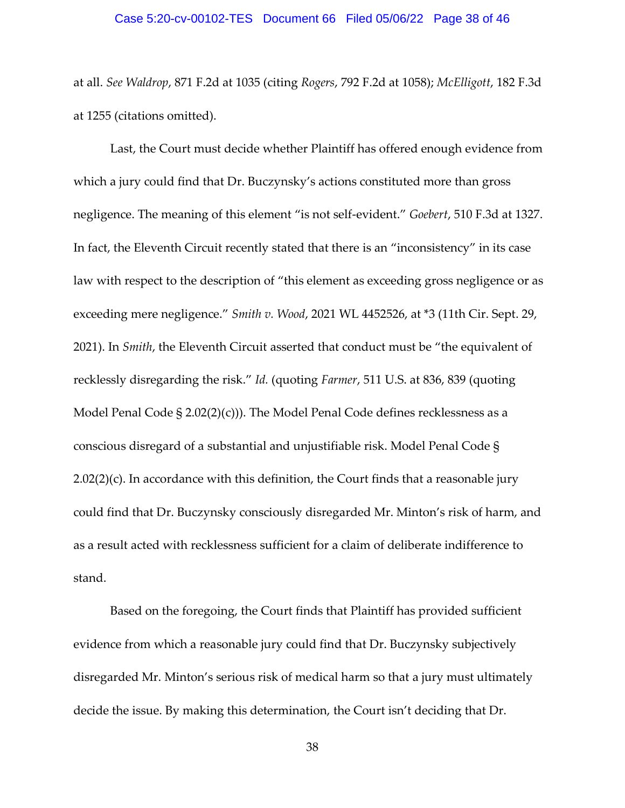at all. *See Waldrop*, 871 F.2d at 1035 (citing *Rogers*, 792 F.2d at 1058); *McElligott*, 182 F.3d at 1255 (citations omitted).

Last, the Court must decide whether Plaintiff has offered enough evidence from which a jury could find that Dr. Buczynsky's actions constituted more than gross negligence. The meaning of this element "is not self-evident." *Goebert*, 510 F.3d at 1327. In fact, the Eleventh Circuit recently stated that there is an "inconsistency" in its case law with respect to the description of "this element as exceeding gross negligence or as exceeding mere negligence." *Smith v. Wood*, 2021 WL 4452526, at \*3 (11th Cir. Sept. 29, 2021). In *Smith*, the Eleventh Circuit asserted that conduct must be "the equivalent of recklessly disregarding the risk." *Id.* (quoting *Farmer*, 511 U.S. at 836, 839 (quoting Model Penal Code § 2.02(2)(c))). The Model Penal Code defines recklessness as a conscious disregard of a substantial and unjustifiable risk. Model Penal Code §  $2.02(2)(c)$ . In accordance with this definition, the Court finds that a reasonable jury could find that Dr. Buczynsky consciously disregarded Mr. Minton's risk of harm, and as a result acted with recklessness sufficient for a claim of deliberate indifference to stand.

Based on the foregoing, the Court finds that Plaintiff has provided sufficient evidence from which a reasonable jury could find that Dr. Buczynsky subjectively disregarded Mr. Minton's serious risk of medical harm so that a jury must ultimately decide the issue. By making this determination, the Court isn't deciding that Dr.

38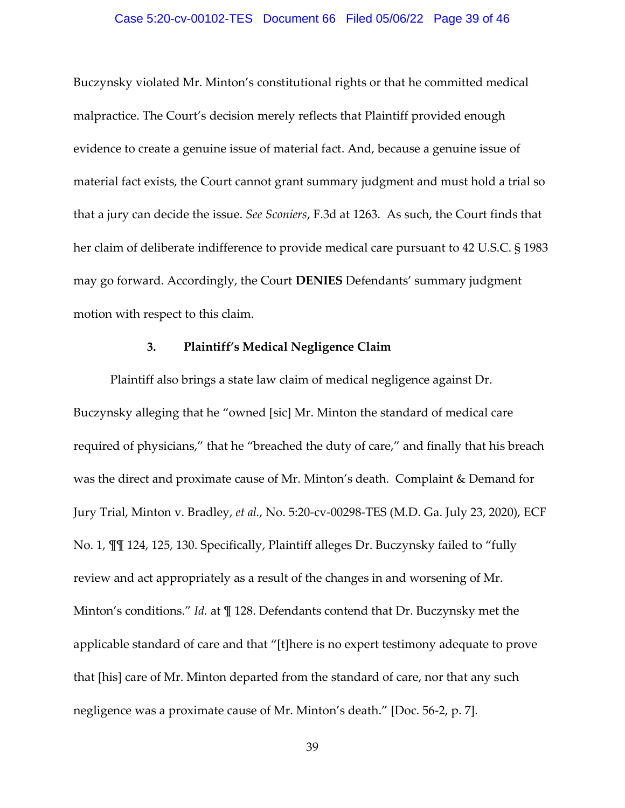#### Case 5:20-cv-00102-TES Document 66 Filed 05/06/22 Page 39 of 46

Buczynsky violated Mr. Minton's constitutional rights or that he committed medical malpractice. The Court's decision merely reflects that Plaintiff provided enough evidence to create a genuine issue of material fact. And, because a genuine issue of material fact exists, the Court cannot grant summary judgment and must hold a trial so that a jury can decide the issue. *See Sconiers*, F.3d at 1263. As such, the Court finds that her claim of deliberate indifference to provide medical care pursuant to 42 U.S.C. § 1983 may go forward. Accordingly, the Court **DENIES** Defendants' summary judgment motion with respect to this claim.

#### **3. Plaintiff's Medical Negligence Claim**

Plaintiff also brings a state law claim of medical negligence against Dr. Buczynsky alleging that he "owned [sic] Mr. Minton the standard of medical care required of physicians," that he "breached the duty of care," and finally that his breach was the direct and proximate cause of Mr. Minton's death. Complaint & Demand for Jury Trial, Minton v. Bradley, *et al.*, No. 5:20-cv-00298-TES (M.D. Ga. July 23, 2020), ECF No. 1, ¶¶ 124, 125, 130. Specifically, Plaintiff alleges Dr. Buczynsky failed to "fully review and act appropriately as a result of the changes in and worsening of Mr. Minton's conditions." *Id.* at  $\P$  128. Defendants contend that Dr. Buczynsky met the applicable standard of care and that "[t]here is no expert testimony adequate to prove that [his] care of Mr. Minton departed from the standard of care, nor that any such negligence was a proximate cause of Mr. Minton's death." [Doc. 56-2, p. 7].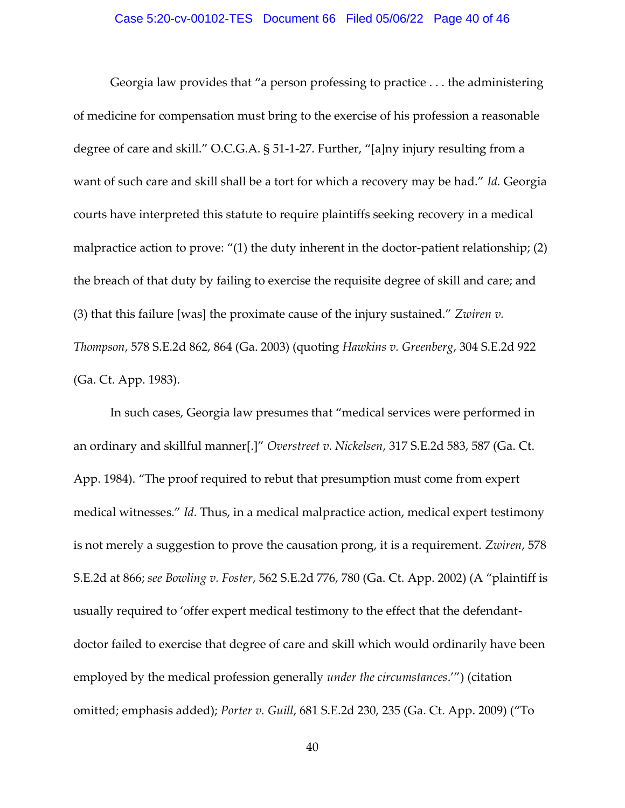#### Case 5:20-cv-00102-TES Document 66 Filed 05/06/22 Page 40 of 46

Georgia law provides that "a person professing to practice . . . the administering of medicine for compensation must bring to the exercise of his profession a reasonable degree of care and skill." O.C.G.A. § 51-1-27. Further, "[a]ny injury resulting from a want of such care and skill shall be a tort for which a recovery may be had." *Id.* Georgia courts have interpreted this statute to require plaintiffs seeking recovery in a medical malpractice action to prove: "(1) the duty inherent in the doctor-patient relationship; (2) the breach of that duty by failing to exercise the requisite degree of skill and care; and (3) that this failure [was] the proximate cause of the injury sustained." *Zwiren v. Thompson*, 578 S.E.2d 862, 864 (Ga. 2003) (quoting *Hawkins v. Greenberg*, 304 S.E.2d 922 (Ga. Ct. App. 1983).

In such cases, Georgia law presumes that "medical services were performed in an ordinary and skillful manner[.]" *Overstreet v. Nickelsen*, 317 S.E.2d 583, 587 (Ga. Ct. App. 1984). "The proof required to rebut that presumption must come from expert medical witnesses." *Id.* Thus, in a medical malpractice action, medical expert testimony is not merely a suggestion to prove the causation prong, it is a requirement. *Zwiren*, 578 S.E.2d at 866; *see Bowling v. Foster*, 562 S.E.2d 776, 780 (Ga. Ct. App. 2002) (A "plaintiff is usually required to 'offer expert medical testimony to the effect that the defendantdoctor failed to exercise that degree of care and skill which would ordinarily have been employed by the medical profession generally *under the circumstances*.'") (citation omitted; emphasis added); *Porter v. Guill*, 681 S.E.2d 230, 235 (Ga. Ct. App. 2009) ("To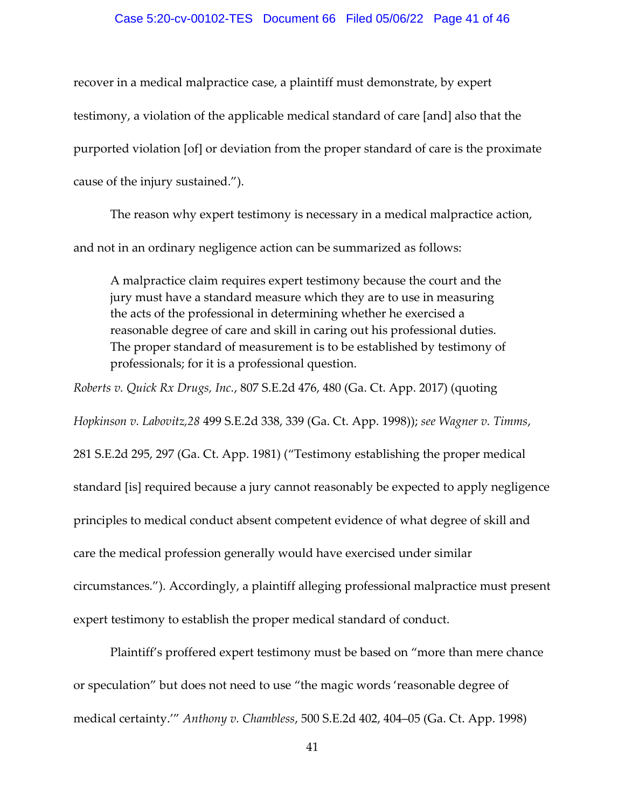#### Case 5:20-cv-00102-TES Document 66 Filed 05/06/22 Page 41 of 46

recover in a medical malpractice case, a plaintiff must demonstrate, by expert testimony, a violation of the applicable medical standard of care [and] also that the purported violation [of] or deviation from the proper standard of care is the proximate cause of the injury sustained.").

The reason why expert testimony is necessary in a medical malpractice action, and not in an ordinary negligence action can be summarized as follows:

A malpractice claim requires expert testimony because the court and the jury must have a standard measure which they are to use in measuring the acts of the professional in determining whether he exercised a reasonable degree of care and skill in caring out his professional duties. The proper standard of measurement is to be established by testimony of professionals; for it is a professional question.

*Roberts v. Quick Rx Drugs, Inc.*, 807 S.E.2d 476, 480 (Ga. Ct. App. 2017) (quoting

*Hopkinson v. Labovitz,28* 499 S.E.2d 338, 339 (Ga. Ct. App. 1998)); *see Wagner v. Timms*,

281 S.E.2d 295, 297 (Ga. Ct. App. 1981) ("Testimony establishing the proper medical standard [is] required because a jury cannot reasonably be expected to apply negligence principles to medical conduct absent competent evidence of what degree of skill and care the medical profession generally would have exercised under similar circumstances."). Accordingly, a plaintiff alleging professional malpractice must present expert testimony to establish the proper medical standard of conduct.

Plaintiff's proffered expert testimony must be based on "more than mere chance or speculation" but does not need to use "the magic words 'reasonable degree of medical certainty.'" *Anthony v. Chambless*, 500 S.E.2d 402, 404–05 (Ga. Ct. App. 1998)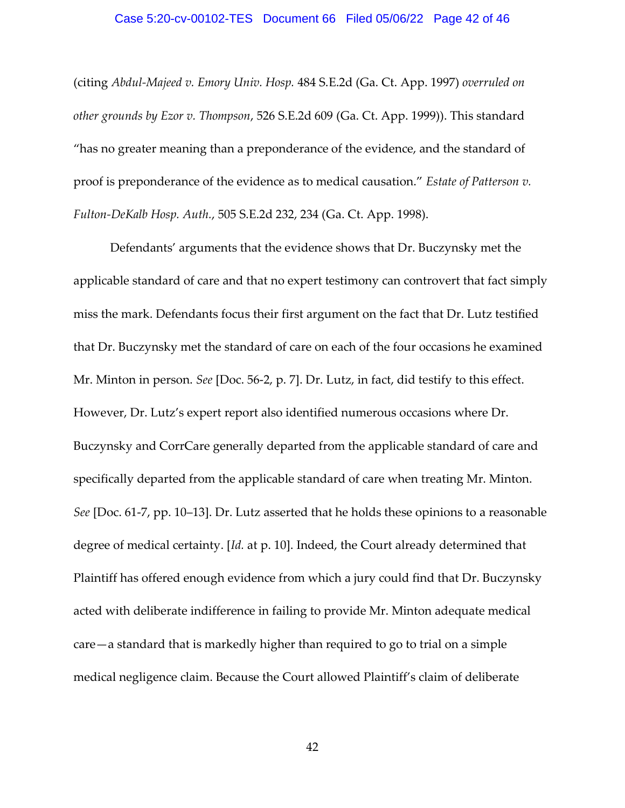#### Case 5:20-cv-00102-TES Document 66 Filed 05/06/22 Page 42 of 46

(citing *Abdul-Majeed v. Emory Univ. Hosp.* 484 S.E.2d (Ga. Ct. App. 1997) *overruled on other grounds by Ezor v. Thompson*, 526 S.E.2d 609 (Ga. Ct. App. 1999)). This standard "has no greater meaning than a preponderance of the evidence, and the standard of proof is preponderance of the evidence as to medical causation." *Estate of Patterson v. Fulton-DeKalb Hosp. Auth.*, 505 S.E.2d 232, 234 (Ga. Ct. App. 1998).

Defendants' arguments that the evidence shows that Dr. Buczynsky met the applicable standard of care and that no expert testimony can controvert that fact simply miss the mark. Defendants focus their first argument on the fact that Dr. Lutz testified that Dr. Buczynsky met the standard of care on each of the four occasions he examined Mr. Minton in person. *See* [Doc. 56-2, p. 7]. Dr. Lutz, in fact, did testify to this effect. However, Dr. Lutz's expert report also identified numerous occasions where Dr. Buczynsky and CorrCare generally departed from the applicable standard of care and specifically departed from the applicable standard of care when treating Mr. Minton. *See* [Doc. 61-7, pp. 10–13]. Dr. Lutz asserted that he holds these opinions to a reasonable degree of medical certainty. [*Id.* at p. 10]. Indeed, the Court already determined that Plaintiff has offered enough evidence from which a jury could find that Dr. Buczynsky acted with deliberate indifference in failing to provide Mr. Minton adequate medical care—a standard that is markedly higher than required to go to trial on a simple medical negligence claim. Because the Court allowed Plaintiff's claim of deliberate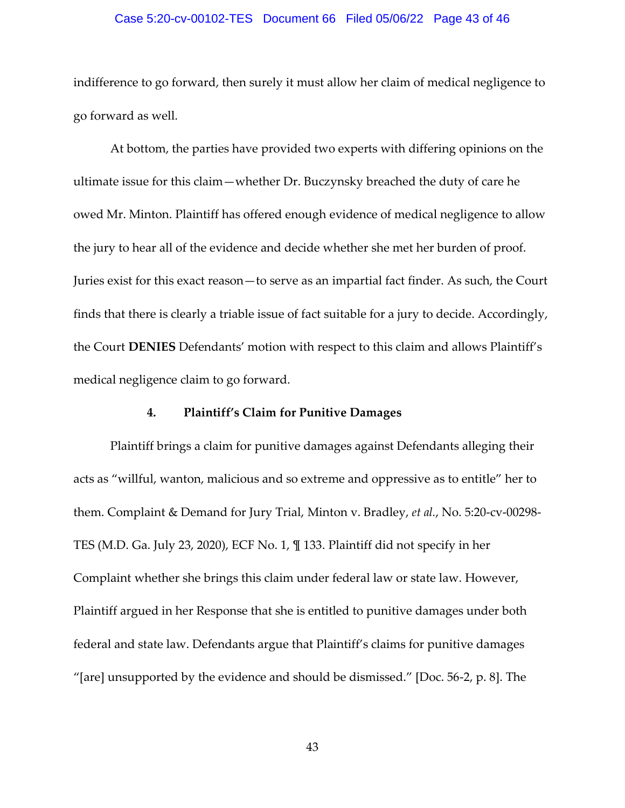# Case 5:20-cv-00102-TES Document 66 Filed 05/06/22 Page 43 of 46

indifference to go forward, then surely it must allow her claim of medical negligence to go forward as well.

At bottom, the parties have provided two experts with differing opinions on the ultimate issue for this claim—whether Dr. Buczynsky breached the duty of care he owed Mr. Minton. Plaintiff has offered enough evidence of medical negligence to allow the jury to hear all of the evidence and decide whether she met her burden of proof. Juries exist for this exact reason—to serve as an impartial fact finder. As such, the Court finds that there is clearly a triable issue of fact suitable for a jury to decide. Accordingly, the Court **DENIES** Defendants' motion with respect to this claim and allows Plaintiff's medical negligence claim to go forward.

#### **4. Plaintiff's Claim for Punitive Damages**

Plaintiff brings a claim for punitive damages against Defendants alleging their acts as "willful, wanton, malicious and so extreme and oppressive as to entitle" her to them. Complaint & Demand for Jury Trial, Minton v. Bradley, *et al.*, No. 5:20-cv-00298- TES (M.D. Ga. July 23, 2020), ECF No. 1, ¶ 133. Plaintiff did not specify in her Complaint whether she brings this claim under federal law or state law. However, Plaintiff argued in her Response that she is entitled to punitive damages under both federal and state law. Defendants argue that Plaintiff's claims for punitive damages "[are] unsupported by the evidence and should be dismissed." [Doc.  $56-2$ , p. 8]. The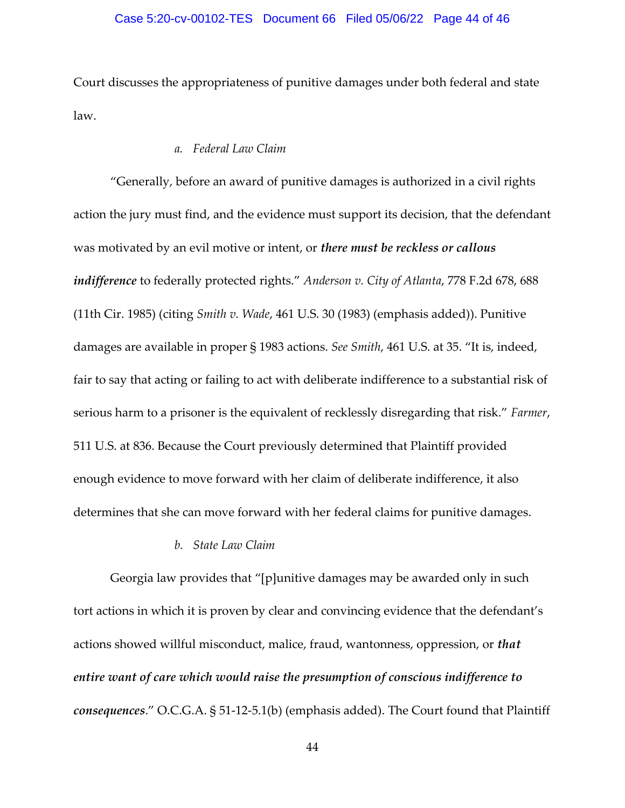Court discusses the appropriateness of punitive damages under both federal and state law.

#### *a. Federal Law Claim*

"Generally, before an award of punitive damages is authorized in a civil rights action the jury must find, and the evidence must support its decision, that the defendant was motivated by an evil motive or intent, or *there must be reckless or callous indifference* to federally protected rights." *Anderson v. City of Atlanta*, 778 F.2d 678, 688 (11th Cir. 1985) (citing *Smith v. Wade*, 461 U.S. 30 (1983) (emphasis added)). Punitive damages are available in proper § 1983 actions. *See Smith*, 461 U.S. at 35. "It is, indeed, fair to say that acting or failing to act with deliberate indifference to a substantial risk of serious harm to a prisoner is the equivalent of recklessly disregarding that risk." *Farmer*, 511 U.S. at 836. Because the Court previously determined that Plaintiff provided enough evidence to move forward with her claim of deliberate indifference, it also determines that she can move forward with her federal claims for punitive damages.

#### *b. State Law Claim*

Georgia law provides that "[p]unitive damages may be awarded only in such tort actions in which it is proven by clear and convincing evidence that the defendant's actions showed willful misconduct, malice, fraud, wantonness, oppression, or *that entire want of care which would raise the presumption of conscious indifference to consequences*." O.C.G.A. § 51-12-5.1(b) (emphasis added). The Court found that Plaintiff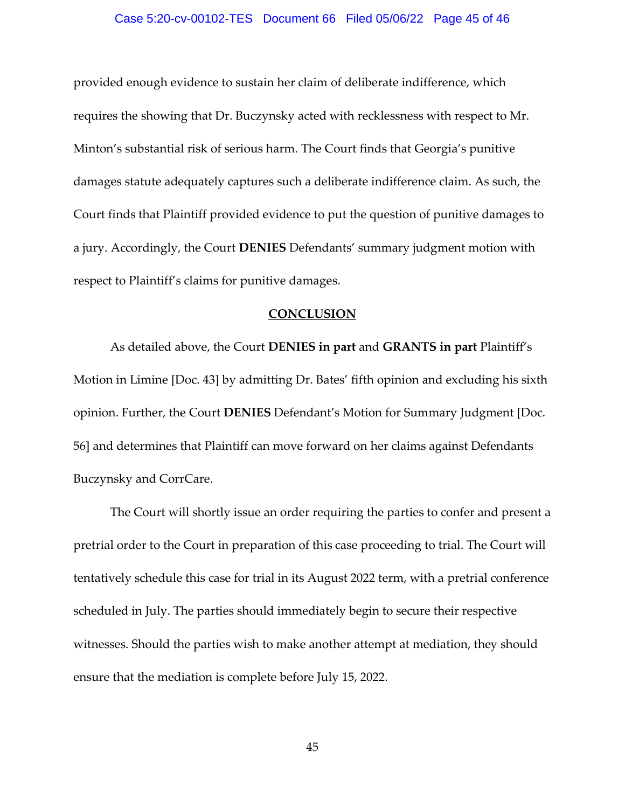#### Case 5:20-cv-00102-TES Document 66 Filed 05/06/22 Page 45 of 46

provided enough evidence to sustain her claim of deliberate indifference, which requires the showing that Dr. Buczynsky acted with recklessness with respect to Mr. Minton's substantial risk of serious harm. The Court finds that Georgia's punitive damages statute adequately captures such a deliberate indifference claim. As such, the Court finds that Plaintiff provided evidence to put the question of punitive damages to a jury. Accordingly, the Court **DENIES** Defendants' summary judgment motion with respect to Plaintiff's claims for punitive damages.

#### **CONCLUSION**

 As detailed above, the Court **DENIES in part** and **GRANTS in part** Plaintiff's Motion in Limine [Doc. 43] by admitting Dr. Bates' fifth opinion and excluding his sixth opinion. Further, the Court **DENIES** Defendant's Motion for Summary Judgment [Doc. 56] and determines that Plaintiff can move forward on her claims against Defendants Buczynsky and CorrCare.

 The Court will shortly issue an order requiring the parties to confer and present a pretrial order to the Court in preparation of this case proceeding to trial. The Court will tentatively schedule this case for trial in its August 2022 term, with a pretrial conference scheduled in July. The parties should immediately begin to secure their respective witnesses. Should the parties wish to make another attempt at mediation, they should ensure that the mediation is complete before July 15, 2022.